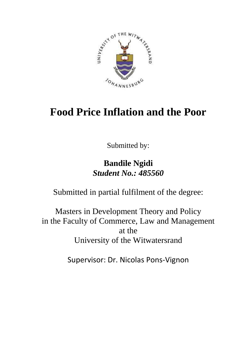

# **Food Price Inflation and the Poor**

Submitted by:

# **Bandile Ngidi** *Student No.: 485560*

Submitted in partial fulfilment of the degree:

Masters in Development Theory and Policy in the Faculty of Commerce, Law and Management at the University of the Witwatersrand

Supervisor: Dr. Nicolas Pons-Vignon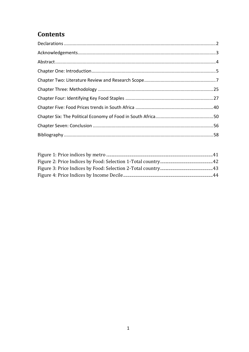# **Contents**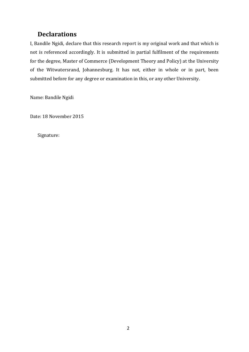# <span id="page-2-0"></span>**Declarations**

I, Bandile Ngidi, declare that this research report is my original work and that which is not is referenced accordingly. It is submitted in partial fulfilment of the requirements for the degree, Master of Commerce (Development Theory and Policy) at the University of the Witwatersrand, Johannesburg. It has not, either in whole or in part, been submitted before for any degree or examination in this, or any other University.

Name: Bandile Ngidi

Date: 18 November 2015

Signature: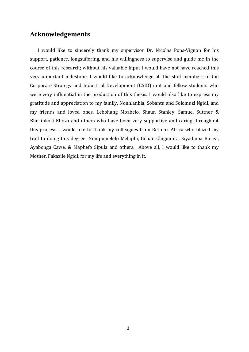### <span id="page-3-0"></span>**Acknowledgements**

I would like to sincerely thank my supervisor Dr. Nicolas Pons-Vignon for his support, patience, longsuffering, and his willingness to supervise and guide me in the course of this research; without his valuable input I would have not have reached this very important milestone. I would like to acknowledge all the staff members of the Corporate Strategy and Industrial Development (CSID) unit and fellow students who were very influential in the production of this thesis. I would also like to express my gratitude and appreciation to my family, Nonhlanhla, Sobantu and Solomuzi Ngidi, and my friends and loved ones, Lebohang Moabelo, Shaun Stanley, Samuel Suttner & Bhekinkosi Khoza and others who have been very supportive and caring throughout this process. I would like to thank my colleagues from Rethink Africa who blazed my trail to doing this degree: Nompumelelo Melaphi, Gillian Chigumira, Siyaduma Biniza, Ayabonga Cawe, & Maphefo Sipula and others. Above all, I would like to thank my Mother, Fakazile Ngidi, for my life and everything in it.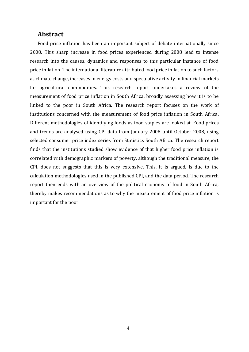### <span id="page-4-0"></span>**Abstract**

Food price inflation has been an important subject of debate internationally since 2008. This sharp increase in food prices experienced during 2008 lead to intense research into the causes, dynamics and responses to this particular instance of food price inflation. The international literature attributed food price inflation to such factors as climate change, increases in energy costs and speculative activity in financial markets for agricultural commodities. This research report undertakes a review of the measurement of food price inflation in South Africa, broadly assessing how it is to be linked to the poor in South Africa. The research report focuses on the work of institutions concerned with the measurement of food price inflation in South Africa. Different methodologies of identifying foods as food staples are looked at. Food prices and trends are analysed using CPI data from January 2008 until October 2008, using selected consumer price index series from Statistics South Africa. The research report finds that the institutions studied show evidence of that higher food price inflation is correlated with demographic markers of poverty, although the traditional measure, the CPI, does not suggests that this is very extensive. This, it is argued, is due to the calculation methodologies used in the published CPI, and the data period. The research report then ends with an overview of the political economy of food in South Africa, thereby makes recommendations as to why the measurement of food price inflation is important for the poor.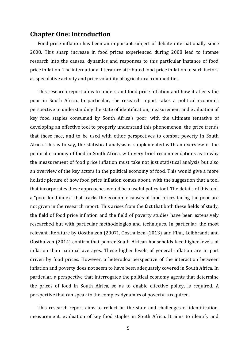### <span id="page-5-0"></span>**Chapter One: Introduction**

Food price inflation has been an important subject of debate internationally since 2008. This sharp increase in food prices experienced during 2008 lead to intense research into the causes, dynamics and responses to this particular instance of food price inflation. The international literature attributed food price inflation to such factors as speculative activity and price volatility of agricultural commodities.

This research report aims to understand food price inflation and how it affects the poor in South Africa. In particular, the research report takes a political economic perspective to understanding the state of identification, measurement and evaluation of key food staples consumed by South Africa's poor, with the ultimate tentative of developing an effective tool to properly understand this phenomenon, the price trends that these face, and to be used with other perspectives to combat poverty in South Africa. This is to say, the statistical analysis is supplemented with an overview of the political economy of food in South Africa, with very brief recommendations as to why the measurement of food price inflation must take not just statistical analysis but also an overview of the key actors in the political economy of food. This would give a more holistic picture of how food price inflation comes about, with the suggestion that a tool that incorporates these approaches would be a useful policy tool. The details of this tool, a "poor food index" that tracks the economic causes of food prices facing the poor are not given in the research report. This arises from the fact that both these fields of study, the field of food price inflation and the field of poverty studies have been extensively researched but with particular methodologies and techniques. In particular, the most relevant literature by Oosthuizen (2007), Oosthuizen (2013) and Finn, Leibbrandt and Oosthuizen (2014) confirm that poorer South African households face higher levels of inflation than national averages. These higher levels of general inflation are in part driven by food prices. However, a heterodox perspective of the interaction between inflation and poverty does not seem to have been adequately covered in South Africa. In particular, a perspective that interrogates the political economy agents that determine the prices of food in South Africa, so as to enable effective policy, is required. A perspective that can speak to the complex dynamics of poverty is required.

This research report aims to reflect on the state and challenges of identification, measurement, evaluation of key food staples in South Africa. It aims to identify and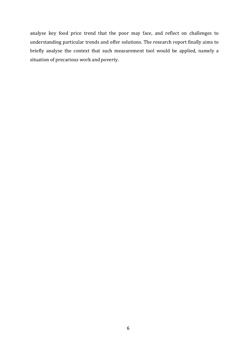analyse key food price trend that the poor may face, and reflect on challenges to understanding particular trends and offer solutions. The research report finally aims to briefly analyse the context that such measurement tool would be applied, namely a situation of precarious work and poverty.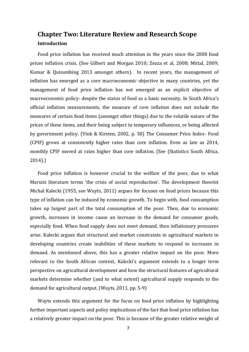# <span id="page-7-0"></span>**Chapter Two: Literature Review and Research Scope Introduction**

Food price inflation has received much attention in the years since the 2008 food prices inflation crisis. (See Gilbert and Morgan 2010; Zezza et al, 2008; Mittal, 2009; Kumar & Quisumbing 2013 amongst others). In recent years, the management of inflation has emerged as a core macroeconomic objective in many countries, yet the management of food price inflation has not emerged as an explicit objective of macroeconomic policy- despite the status of food as a basic necessity. In South Africa's official inflation measurements, the measure of core inflation does not include the measures of certain food items (amongst other things) due to the volatile nature of the prices of these items, and their being subject to temporary influences, or being affected by government policy. (Vink & Kirsten, 2002, p. 58) The Consumer Price Index- Food (CPIF) grows at consistently higher rates than core inflation. Even as late as 2014, monthly CPIF moved at rates higher than core inflation. (See (Statistics South Africa, 2014).)

Food price inflation is however crucial to the welfare of the poor, due to what Marxist literature terms 'the crisis of social reproduction'. The development theorist Michal Kalecki (1955, see Wuyts, 2011) argues for focuses on food prices because this type of inflation can be induced by economic growth. To begin with, food consumption takes up largest part of the total consumption of the poor. Then, due to economic growth, increases in income cause an increase in the demand for consumer goods, especially food. When food supply does not meet demand, then inflationary pressures arise. Kalecki argues that structural and market constraints in agricultural markets in developing countries create inabilities of these markets to respond to increases in demand. As mentioned above, this has a greater relative impact on the poor. More relevant to the South African context, Kalecki's argument extends to a longer term perspective on agricultural development and how the structural features of agricultural markets determine whether (and to what extent) agricultural supply responds to the demand for agricultural output. (Wuyts, 2011, pp. 5-9)

Wuyts extends this argument for the focus on food price inflation by highlighting further important aspects and policy implications of the fact that food price inflation has a relatively greater impact on the poor. This is because of the greater relative weight of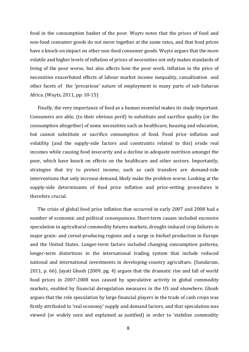food in the consumption basket of the poor. Wuyts notes that the prices of food and non-food consumer goods do not move together at the same rates, and that food prices have a knock-on impact on other non-food consumer goods. Wuyts argues that the more volatile and higher levels of inflation of prices of necessities not only makes standards of living of the poor worse, but also affects how the poor work. Inflation in the price of necessities exacerbated effects of labour market income inequality, casualization and other facets of the 'precarious' nature of employment in many parts of sub-Saharan Africa. (Wuyts, 2011, pp. 10-15)

Finally, the very importance of food as a human essential makes its study important. Consumers are able, (to their obvious peril) to substitute and sacrifice quality (or the consumption altogether) of some necessities such as healthcare, housing and education, but cannot substitute or sacrifice consumption of food. Food price inflation and volatility (and the supply-side factors and constraints related to this) erode real incomes while causing food insecurity and a decline in adequate nutrition amongst the poor, which have knock on effects on the healthcare and other sectors. Importantly, strategies that try to protect income, such as cash transfers are demand-side interventions that only increase demand, likely make the problem worse. Looking at the supply-side determinants of food price inflation and price-setting procedures is therefore crucial.

The crisis of global food price inflation that occurred in early 2007 and 2008 had a number of economic and political consequences. Short-term causes included excessive speculation in agricultural commodity futures markets, drought-induced crop failures in major grain- and cereal-producing regions and a surge in biofuel production in Europe and the United States. Longer-term factors included changing consumption patterns, longer-term distortions in the international trading system that include reduced national and international investments in developing-country agriculture. (Sundaram, 2011, p. 66). Jayati Ghosh (2009, pg. 4) argues that the dramatic rise and fall of world food prices in 2007-2008 was caused by speculative activity in global commodity markets, enabled by financial deregulation measures in the US and elsewhere. Ghosh argues that the role speculation by large financial players in the trade of cash crops was firstly attributed to 'real economy' supply and demand factors, and that speculation was viewed (or widely seen and explained as justified) in order to 'stabilise commodity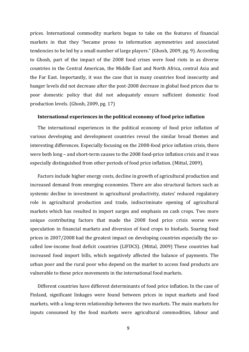prices. International commodity markets began to take on the features of financial markets in that they "became prone to information asymmetries and associated tendencies to be led by a small number of large players." (Ghosh, 2009, pg. 9). According to Ghosh, part of the impact of the 2008 food crises were food riots in as diverse countries in the Central American, the Middle East and North Africa, central Asia and the Far East. Importantly, it was the case that in many countries food insecurity and hunger levels did not decrease after the post-2008 decrease in global food prices due to poor domestic policy that did not adequately ensure sufficient domestic food production levels. (Ghosh, 2009, pg. 17)

#### **International experiences in the political economy of food price inflation**

The international experiences in the political economy of food price inflation of various developing and development countries reveal the similar broad themes and interesting differences. Especially focusing on the 2008-food price inflation crisis, there were both long – and short-term causes to the 2008 food-price inflation crisis and it was especially distinguished from other periods of food price inflation. (Mittal, 2009).

Factors include higher energy costs, decline in growth of agricultural production and increased demand from emerging economies. There are also structural factors such as systemic decline in investment in agricultural productivity, states' reduced regulatory role in agricultural production and trade, indiscriminate opening of agricultural markets which has resulted in import surges and emphasis on cash crops. Two more unique contributing factors that made the 2008 food price crisis worse were speculation in financial markets and diversion of food crops to biofuels. Soaring food prices in 2007/2008 had the greatest impact on developing countries especially the socalled low-income food deficit countries (LIFDCS). (Mittal, 2009) These countries had increased food import bills, which negatively affected the balance of payments. The urban poor and the rural poor who depend on the market to access food products are vulnerable to these price movements in the international food markets.

Different countries have different determinants of food price inflation. In the case of Finland, significant linkages were found between prices in input markets and food markets, with a long-term relationship between the two markets. The main markets for inputs consumed by the food markets were agricultural commodities, labour and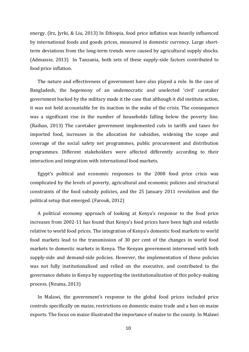energy. (Irz, Jyrki, & Liu, 2013) In Ethiopia, food price inflation was heavily influenced by international foods and goods prices, measured in domestic currency. Large shortterm deviations from the long-term trends were caused by agricultural supply shocks. (Admassie, 2013) In Tanzania, both sets of these supply-side factors contributed to food price inflation.

The nature and effectiveness of government have also played a role. In the case of Bangladesh, the hegemony of an undemocratic and unelected 'civil' caretaker government backed by the military made it the case that although it did institute action, it was not held accountable for its inaction in the wake of the crisis. The consequence was a significant rise in the number of households falling below the poverty line. (Raihan, 2013) The caretaker government implemented cuts in tariffs and taxes for imported food, increases in the allocation for subsidies, widening the scope and coverage of the social safety net programmes, public procurement and distribution programmes. Different stakeholders were affected differently according to their interaction and integration with international food markets.

Egypt's political and economic responses to the 2008 food price crisis was complicated by the levels of poverty, agricultural and economic policies and structural constraints of the food subsidy policies, and the 25 January 2011 revolution and the political setup that emerged. (Farouk, 2012)

A political economy approach of looking at Kenya's response to the food price increases from 2002-11 has found that Kenya's food prices have been high and volatile relative to world food prices. The integration of Kenya's domestic food markets to world food markets lead to the transmission of 30 per cent of the changes in world food markets to domestic markets in Kenya. The Kenyan government intervened with both supply-side and demand-side policies. However, the implementation of these policies was not fully institutionalized and relied on the executive, and contributed to the governance debate in Kenya by supporting the institutionalization of this policy-making process. (Nzuma, 2013)

In Malawi, the government's response to the global food prices included price controls specifically on maize, restrictions on domestic maize trade and a ban on maize exports. The focus on maize illustrated the importance of maize to the county. In Malawi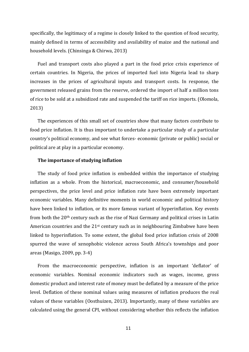specifically, the legitimacy of a regime is closely linked to the question of food security, mainly defined in terms of accessibility and availability of maize and the national and household levels. (Chinsinga & Chirwa, 2013)

Fuel and transport costs also played a part in the food price crisis experience of certain countries. In Nigeria, the prices of imported fuel into Nigeria lead to sharp increases in the prices of agricultural inputs and transport costs. In response, the government released grains from the reserve, ordered the import of half a million tons of rice to be sold at a subsidized rate and suspended the tariff on rice imports. (Olomola, 2013)

The experiences of this small set of countries show that many factors contribute to food price inflation. It is thus important to undertake a particular study of a particular country's political economy, and see what forces- economic (private or public) social or political are at play in a particular economy.

#### **The importance of studying inflation**

The study of food price inflation is embedded within the importance of studying inflation as a whole. From the historical, macroeconomic, and consumer/household perspectives, the price level and price inflation rate have been extremely important economic variables. Many definitive moments in world economic and political history have been linked to inflation, or its more famous variant of hyperinflation. Key events from both the 20th century such as the rise of Nazi Germany and political crises in Latin American countries and the 21st century such as in neighbouring Zimbabwe have been linked to hyperinflation. To some extent, the global food price inflation crisis of 2008 spurred the wave of xenophobic violence across South Africa's townships and poor areas (Masigo, 2009, pp. 3-4)

From the macroeconomic perspective, inflation is an important 'deflator' of economic variables. Nominal economic indicators such as wages, income, gross domestic product and interest rate of money must be deflated by a measure of the price level. Deflation of these nominal values using measures of inflation produces the real values of these variables (Oosthuizen, 2013). Importantly, many of these variables are calculated using the general CPI, without considering whether this reflects the inflation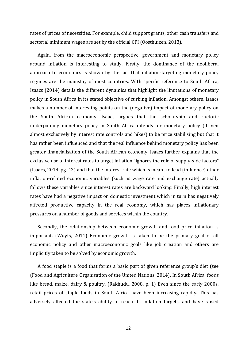rates of prices of necessities. For example, child support grants, other cash transfers and sectorial minimum wages are set by the official CPI (Oosthuizen, 2013).

Again, from the macroeconomic perspective, government and monetary policy around inflation is interesting to study. Firstly, the dominance of the neoliberal approach to economics is shown by the fact that inflation-targeting monetary policy regimes are the mainstay of most countries. With specific reference to South Africa, Isaacs (2014) details the different dynamics that highlight the limitations of monetary policy in South Africa in its stated objective of curbing inflation. Amongst others, Isaacs makes a number of interesting points on the (negative) impact of monetary policy on the South African economy. Isaacs argues that the scholarship and rhetoric underpinning monetary policy in South Africa intends for monetary policy (driven almost exclusively by interest rate controls and hikes) to be price stabilising but that it has rather been influenced and that the real influence behind monetary policy has been greater financialisation of the South African economy. Isaacs further explains that the exclusive use of interest rates to target inflation "ignores the role of supply-side factors" (Isaacs, 2014. pg. 42) and that the interest rate which is meant to lead (influence) other inflation-related economic variables (such as wage rate and exchange rate) actually follows these variables since interest rates are backward looking. Finally, high interest rates have had a negative impact on domestic investment which in turn has negatively affected productive capacity in the real economy, which has places inflationary pressures on a number of goods and services within the country.

Secondly, the relationship between economic growth and food price inflation is important. (Wuyts, 2011) Economic growth is taken to be the primary goal of all economic policy and other macroeconomic goals like job creation and others are implicitly taken to be solved by economic growth.

A food staple is a food that forms a basic part of given reference group's diet (see (Food and Agriculture Organisation of the United Nations, 2014). In South Africa, foods like bread, maize, dairy & poultry. (Rakhudu, 2008, p. 1) Even since the early 2000s, retail prices of staple foods in South Africa have been increasing rapidly. This has adversely affected the state's ability to reach its inflation targets, and have raised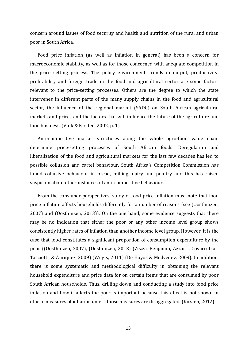concern around issues of food security and health and nutrition of the rural and urban poor in South Africa.

Food price inflation (as well as inflation in general) has been a concern for macroeconomic stability, as well as for those concerned with adequate competition in the price setting process. The policy environment, trends in output, productivity, profitability and foreign trade in the food and agricultural sector are some factors relevant to the price-setting processes. Others are the degree to which the state intervenes in different parts of the many supply chains in the food and agricultural sector, the influence of the regional market (SADC) on South African agricultural markets and prices and the factors that will influence the future of the agriculture and food business. (Vink & Kirsten, 2002, p. 1)

Anti-competitive market structures along the whole agro-food value chain determine price-setting processes of South African foods. Deregulation and liberalization of the food and agricultural markets for the last few decades has led to possible collusion and cartel behaviour. South Africa's Competition Commission has found collusive behaviour in bread, milling, dairy and poultry and this has raised suspicion about other instances of anti-competitive behaviour.

From the consumer perspectives, study of food price inflation must note that food price inflation affects households differently for a number of reasons (see (Oosthuizen, 2007) and (Oosthuizen, 2013)). On the one hand, some evidence suggests that there may be no indication that either the poor or any other income level group shows consistently higher rates of inflation than another income level group. However, it is the case that food constitutes a significant proportion of consumption expenditure by the poor ((Oosthuizen, 2007), (Oosthuizen, 2013) (Zezza, Benjamin, Azzarri, Covarrubias, Tasciotti, & Anriquez, 2009) (Wuyts, 2011) (De Hoyos & Medvedev, 2009). In addition, there is some systematic and methodological difficulty in obtaining the relevant household expenditure and price data for on certain items that are consumed by poor South African households. Thus, drilling down and conducting a study into food price inflation and how it affects the poor is important because this effect is not shown in official measures of inflation unless those measures are disaggregated. (Kirsten, 2012)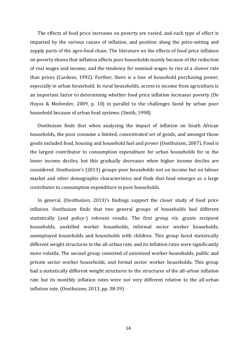The effects of food price increases on poverty are varied, and each type of effect is impacted by the various causes of inflation, and position along the price-setting and supply parts of the agro-food chain. The literature on the effects of food price inflation on poverty shows that inflation affects poor households mainly because of the reduction of real wages and income, and the tendency for nominal wages to rise at a slower rate than prices (Cardoso, 1992). Further, there is a loss of household purchasing power, especially in urban household. In rural households, access to income from agriculture is an important factor to determining whether food price inflation increases poverty (De Hoyos & Medvedev, 2009, p. 10) in parallel to the challenges faced by urban poor household because of urban food systems. (Smith, 1998)

Oosthuizen finds that when analysing the impact of inflation on South African households, the poor consume a limited, concentrated set of goods, and amongst those goods included food, housing and household fuel and power (Oosthuizen, 2007). Food is the largest contributor to consumption expenditure for urban households for in the lower income deciles, but this gradually decreases when higher income deciles are considered. Oosthuizen's (2013) groups poor households not on income but on labour market and other demographic characteristics and finds that food emerges as a large contributor to consumption expenditure in poor households.

In general, (Oosthuizen, 2013)'s findings support the closer study of food price inflation. Oosthuizen finds that two general groups of households had different statistically (and policy-) relevant results. The first group viz. grants recipient households, unskilled worker households, informal sector worker households, unemployed households and households with children. This group faced statistically different weight structures to the all-urban rate, and its inflation rates were significantly more volatile. The second group consisted of unionized worker households, public and private sector worker households, and formal sector worker households. This group had a statistically different weight structures to the structures of the all-urban inflation rate but its monthly inflation rates were not very different relative to the all-urban inflation rate. (Oosthuizen, 2013, pp. 38-39)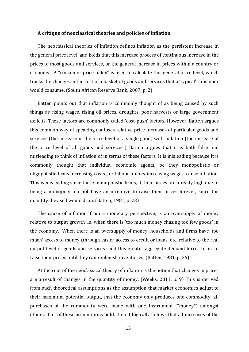#### **A critique of neoclassical theories and policies of inflation**

The neoclassical theories of inflation defines inflation as the persistent increase in the general price level, and holds that this increase process of continuous increase in the prices of most goods and services, or the general increase in prices within a country or economy. A "consumer price index" is used to calculate this general price level, which tracks the changes in the cost of a basket of goods and services that a 'typical' consumer would consume. (South African Reserve Bank, 2007, p. 2)

Batten points out that inflation is commonly thought of as being caused by such things as rising wages, rising oil prices, droughts, poor harvests or large government deficits. These factors are commonly called 'cost-push' factors. However, Batten argues this common way of speaking confuses relative price increases of particular goods and services (the increase in the price level of a single good) with inflation (the increase of the price level of all goods and services.) Batten argues that it is both false and misleading to think of inflation of in terms of these factors. It is misleading because it is commonly thought that individual economic agents, be they monopolistic or oligopolistic firms increasing costs , or labour unions increasing wages, cause inflation. This is misleading since these monopolistic firms, if their prices are already high due to being a monopoly; do not have an incentive to raise their prices forever, since the quantity they sell would drop. (Batten, 1981, p. 23)

The cause of inflation, from a monetary perspective, is an oversupply of money relative to output growth i.e. when there is 'too much money chasing too few goods' in the economy. When there is an oversupply of money, households and firms have 'too much' access to money (through easier access to credit or loans, etc. relative to the real output level of goods and services) and this greater aggregate demand forces firms to raise their prices until they can replenish inventories. (Batten, 1981, p. 26)

At the root of the neoclassical theory of inflation is the notion that changes in prices are a result of changes in the quantity of money. (Weeks, 2011, p. 9) This is derived from such theoretical assumptions as the assumption that market economies adjust to their maximum potential output, that the economy only produces one commodity; all purchases of the commodity were made with one instrument ("money") amongst others. If all of these assumptions hold, then it logically follows that all increases of the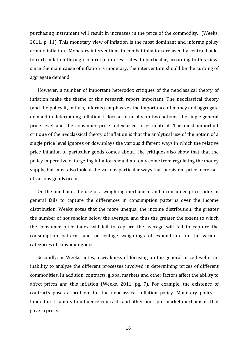purchasing instrument will result in increases in the price of the commodity. (Weeks, 2011, p. 11). This monetary view of inflation is the most dominant and informs policy around inflation. Monetary interventions to combat inflation are used by central banks to curb inflation through control of interest rates. In particular, according to this view, since the main cause of inflation is monetary, the intervention should be the curbing of aggregate demand.

However, a number of important heterodox critiques of the neoclassical theory of inflation make the theme of this research report important. The neoclassical theory (and the policy it, in turn, informs) emphasizes the importance of money and aggregate demand in determining inflation. It focuses crucially on two notions: the single general price level and the consumer price index used to estimate it. The most important critique of the neoclassical theory of inflation is that the analytical use of the notion of a single price level ignores or downplays the various different ways in which the relative price inflation of particular goods comes about. The critiques also show that that the policy imperative of targeting inflation should not only come from regulating the money supply, but must also look at the various particular ways that persistent price increases of various goods occur.

On the one hand, the use of a weighting mechanism and a consumer price index in general fails to capture the differences in consumption patterns over the income distribution. Weeks notes that the more unequal the income distribution, the greater the number of households below the average, and thus the greater the extent to which the consumer price index will fail to capture the average will fail to capture the consumption patterns and percentage weightings of expenditure in the various categories of consumer goods.

Secondly, as Weeks notes, a weakness of focusing on the general price level is an inability to analyse the different processes involved in determining prices of different commodities. In addition, contracts, global markets and other factors affect the ability to affect prices and this inflation (Weeks, 2011, pg. 7). For example, the existence of contracts poses a problem for the neoclassical inflation policy. Monetary policy is limited in its ability to influence contracts and other non-spot market mechanisms that govern price.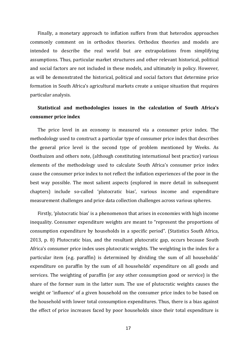Finally, a monetary approach to inflation suffers from that heterodox approaches commonly comment on in orthodox theories. Orthodox theories and models are intended to describe the real world but are extrapolations from simplifying assumptions. Thus, particular market structures and other relevant historical, political and social factors are not included in these models, and ultimately in policy. However, as will be demonstrated the historical, political and social factors that determine price formation in South Africa's agricultural markets create a unique situation that requires particular analysis.

# **Statistical and methodologies issues in the calculation of South Africa's consumer price index**

The price level in an economy is measured via a consumer price index. The methodology used to construct a particular type of consumer price index that describes the general price level is the second type of problem mentioned by Weeks. As Oosthuizen and others note, (although constituting international best practice) various elements of the methodology used to calculate South Africa's consumer price index cause the consumer price index to not reflect the inflation experiences of the poor in the best way possible. The most salient aspects (explored in more detail in subsequent chapters) include so-called 'plutocratic bias', various income and expenditure measurement challenges and price data collection challenges across various spheres.

Firstly, 'plutocratic bias' is a phenomenon that arises in economies with high income inequality. Consumer expenditure weights are meant to "represent the proportions of consumption expenditure by households in a specific period". (Statistics South Africa, 2013, p. 8) Plutocratic bias, and the resultant plutocratic gap, occurs because South Africa's consumer price index uses plutocratic weights. The weighting in the index for a particular item (e.g. paraffin) is determined by dividing the sum of all households' expenditure on paraffin by the sum of all households' expenditure on all goods and services. The weighting of paraffin (or any other consumption good or service) is the share of the former sum in the latter sum. The use of plutocratic weights causes the weight or 'influence' of a given household on the consumer price index to be based on the household with lower total consumption expenditures. Thus, there is a bias against the effect of price increases faced by poor households since their total expenditure is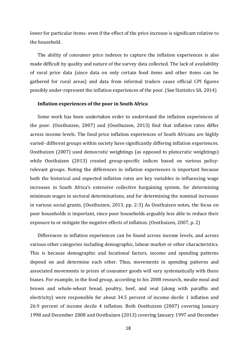lower for particular items- even if the effect of the price increase is significant relative to the household.

The ability of consumer price indexes to capture the inflation experiences is also made difficult by quality and nature of the survey data collected. The lack of availability of rural price data (since data on only certain food items and other items can be gathered for rural areas) and data from informal traders cause official CPI figures possibly under-represent the inflation experiences of the poor. (See Statistics SA, 2014)

#### **Inflation experiences of the poor in South Africa**

Some work has been undertaken order to understand the inflation experiences of the poor. (Oosthuizen, 2007) and (Oosthuizen, 2013) find that inflation rates differ across income levels. The food price inflation experiences of South Africans are highly varied- different groups within society have significantly differing inflation experiences. Oosthuizen (2007) used democratic weightings (as opposed to plutocratic weightings) while Oosthuizen (2013) created group-specific indices based on various policyrelevant groups. Noting the differences in inflation experiences is important because both the historical and expected inflation rates are key variables in influencing wage increases in South Africa's extensive collective bargaining system, for determining minimum wages in sectoral determinations, and for determining the nominal increases in various social grants. (Oosthuizen, 2013, pp. 2-3) As Oosthuizen notes, the focus on poor households is important, since poor households arguably less able to reduce their exposure to or mitigate the negative effects of inflation. (Oosthuizen, 2007, p. 2)

Differences in inflation experiences can be found across income levels, and across various other categories including demographic, labour market or other characteristics. This is because demographic and locational factors, income and spending patterns depend on and determine each other. Thus, movements in spending patterns and associated movements in prices of consumer goods will vary systematically with these biases. For example, in the food group, according to his 2008 research, mealie meal and brown and whole-wheat bread, poultry, beef, and veal (along with paraffin and electricity) were responsible for about 34.5 percent of income decile 1 inflation and 26.9 percent of income decile 4 inflation. Both Oosthuizen (2007) covering January 1998 and December 2008 and Oosthuizen (2013) covering January 1997 and December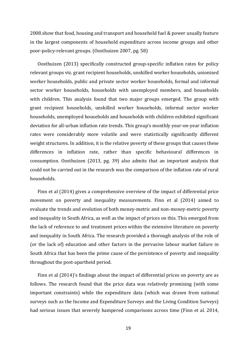2008.show that food, housing and transport and household fuel & power usually feature in the largest components of household expenditure across income groups and other poor-policy-relevant groups. (Oosthuizen 2007, pg. 58)

Oosthuizen (2013) specifically constructed group-specific inflation rates for policy relevant groups viz. grant recipient households, unskilled worker households, unionised worker households, public and private sector worker households, formal and informal sector worker households, households with unemployed members, and households with children. This analysis found that two major groups emerged. The group with grant recipient households, unskilled worker households, informal sector worker households, unemployed households and households with children exhibited significant deviation for all-urban inflation rate trends. This group's monthly year-on-year inflation rates were considerably more volatile and were statistically significantly different weight structures. In addition, it is the relative poverty of these groups that causes these differences in inflation rate, rather than specific behavioural differences in consumption. Oosthuizen (2013, pg. 39) also admits that an important analysis that could not be carried out in the research was the comparison of the inflation rate of rural households.

Finn et al (2014) gives a comprehensive overview of the impact of differential price movement on poverty and inequality measurements. Finn et al (2014) aimed to evaluate the trends and evolution of both money-metric and non-money-metric poverty and inequality in South Africa, as well as the impact of prices on this. This emerged from the lack of reference to and treatment prices within the extensive literature on poverty and inequality in South Africa. The research provided a thorough analysis of the role of (or the lack of) education and other factors in the pervasive labour market failure in South Africa that has been the prime cause of the persistence of poverty and inequality throughout the post-apartheid period.

Finn et al (2014)'s findings about the impact of differential prices on poverty are as follows. The research found that the price data was relatively promising (with some important constraints) while the expenditure data (which was drawn from national surveys such as the Income and Expenditure Surveys and the Living Condition Surveys) had serious issues that severely hampered comparisons across time (Finn et al. 2014,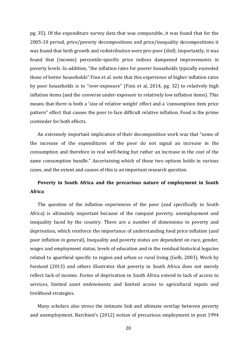pg. 35). Of the expenditure survey data that was comparable, it was found that for the 2005-10 period, price/poverty decompositions and price/inequality decompositions it was found that both growth and redistribution were pro-poor (*ibid*). Importantly, it was found that (income) percentile-specific price indices dampened improvements in poverty levels. In addition, "the inflation rates for poorer households typically exceeded those of better households" Finn et al. note that this experience of higher inflation rates by poor households is to "over-exposure" (Finn et al, 2014, pg. 32) to relatively high inflation items (and the converse under-exposure to relatively low inflation items). This means that there is both a 'size of relative weight' effect and a 'consumption item price pattern" effect that causes the poor to face difficult relative inflation. Food is the prime contender for both effects.

An extremely important implication of their decomposition work was that "some of the increase of the expenditures of the poor do not signal an increase in the consumption and therefore in real well-being but rather an increase in the cost of the same consumption bundle." Ascertaining which of these two options holds in various cases, and the extent and causes of this is an important research question.

# **Poverty in South Africa and the precarious nature of employment in South Africa**

The question of the inflation experiences of the poor (and specifically in South Africa) is ultimately important because of the rampant poverty, unemployment and inequality faced by the country. There are a number of dimensions to poverty and deprivation, which reinforce the importance of understanding food price inflation (and poor inflation in general). Inequality and poverty status are dependent on race, gender, wages and employment status, levels of education and in the residual historical legacies related to apartheid specific to region and urban or rural living (Gelb, 2003). Work by Forslund (2013) and others illustrates that poverty in South Africa does not merely reflect lack of income. Forms of deprivation in South Africa extend to lack of access to services, limited asset endowments and limited access to agricultural inputs and livelihood strategies.

Many scholars also stress the intimate link and ultimate overlap between poverty and unemployment. Barchiesi's (2012) notion of precarious employment in post 1994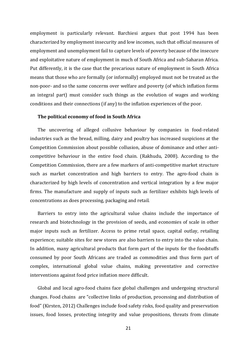employment is particularly relevant. Barchiesi argues that post 1994 has been characterized by employment insecurity and low incomes, such that official measures of employment and unemployment fail to capture levels of poverty because of the insecure and exploitative nature of employment in much of South Africa and sub-Saharan Africa. Put differently, it is the case that the precarious nature of employment in South Africa means that those who are formally (or informally) employed must not be treated as the non-poor- and so the same concerns over welfare and poverty (of which inflation forms an integral part) must consider such things as the evolution of wages and working conditions and their connections (if any) to the inflation experiences of the poor.

#### **The political economy of food in South Africa**

The uncovering of alleged collusive behaviour by companies in food-related industries such as the bread, milling, dairy and poultry has increased suspicions at the Competition Commission about possible collusion, abuse of dominance and other anticompetitive behaviour in the entire food chain. (Rakhudu, 2008). According to the Competition Commission, there are a few markers of anti-competitive market structure such as market concentration and high barriers to entry. The agro-food chain is characterized by high levels of concentration and vertical integration by a few major firms. The manufacture and supply of inputs such as fertilizer exhibits high levels of concentrations as does processing, packaging and retail.

Barriers to entry into the agricultural value chains include the importance of research and biotechnology in the provision of seeds, and economies of scale in other major inputs such as fertilizer. Access to prime retail space, capital outlay, retailing experience; suitable sites for new stores are also barriers to entry into the value chain. In addition, many agricultural products that form part of the inputs for the foodstuffs consumed by poor South Africans are traded as commodities and thus form part of complex, international global value chains, making preventative and corrective interventions against food price inflation more difficult.

Global and local agro-food chains face global challenges and undergoing structural changes. Food chains are "collective links of production, processing and distribution of food" (Kirsten, 2012) Challenges include food safety risks, food quality and preservation issues, food losses, protecting integrity and value propositions, threats from climate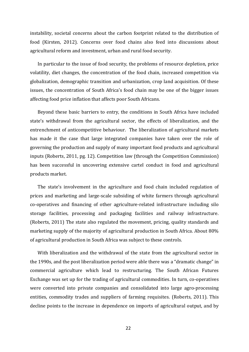instability, societal concerns about the carbon footprint related to the distribution of food (Kirsten, 2012). Concerns over food chains also feed into discussions about agricultural reform and investment, urban and rural food security.

In particular to the issue of food security, the problems of resource depletion, price volatility, diet changes, the concentration of the food chain, increased competition via globalization, demographic transition and urbanization, crop land acquisition. Of these issues, the concentration of South Africa's food chain may be one of the bigger issues affecting food price inflation that affects poor South Africans.

Beyond these basic barriers to entry, the conditions in South Africa have included state's withdrawal from the agricultural sector, the effects of liberalization, and the entrenchment of anticompetitive behaviour. The liberalization of agricultural markets has made it the case that large integrated companies have taken over the role of governing the production and supply of many important food products and agricultural inputs (Roberts, 2011, pg. 12). Competition law (through the Competition Commission) has been successful in uncovering extensive cartel conduct in food and agricultural products market.

The state's involvement in the agriculture and food chain included regulation of prices and marketing and large-scale subsiding of white farmers through agricultural co-operatives and financing of other agriculture-related infrastructure including silo storage facilities, processing and packaging facilities and railway infrastructure. (Roberts, 2011) The state also regulated the movement, pricing, quality standards and marketing supply of the majority of agricultural production in South Africa. About 80% of agricultural production in South Africa was subject to these controls.

With liberalization and the withdrawal of the state from the agricultural sector in the 1990s, and the post liberalization period were able there was a "dramatic change" in commercial agriculture which lead to restructuring. The South African Futures Exchange was set up for the trading of agricultural commodities. In turn, co-operatives were converted into private companies and consolidated into large agro-processing entities, commodity trades and suppliers of farming requisites. (Roberts, 2011). This decline points to the increase in dependence on imports of agricultural output, and by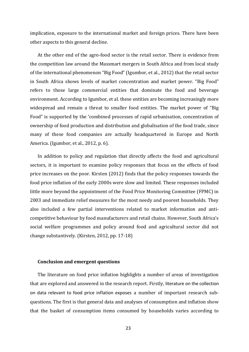implication, exposure to the international market and foreign prices. There have been other aspects to this general decline.

At the other end of the agro-food sector is the retail sector. There is evidence from the competition law around the Massmart mergers in South Africa and from local study of the international phenomenon "Big Food" (Igumbor, et al., 2012) that the retail sector in South Africa shows levels of market concentration and market power. "Big Food" refers to those large commercial entities that dominate the food and beverage environment. According to Igumbor, et al. these entities are becoming increasingly more widespread and remain a threat to smaller food entities. The market power of "Big Food" is supported by the 'combined processes of rapid urbanisation, concentration of ownership of food production and distribution and globalisation of the food trade, since many of these food companies are actually headquartered in Europe and North America. (Igumbor, et al., 2012, p. 6).

In addition to policy and regulation that directly affects the food and agricultural sectors, it is important to examine policy responses that focus on the effects of food price increases on the poor. Kirsten (2012) finds that the policy responses towards the food price inflation of the early 2000s were slow and limited. These responses included little more beyond the appointment of the Food Price Monitoring Committee (FPMC) in 2003 and immediate relief measures for the most needy and poorest households. They also included a few partial interventions related to market information and anticompetitive behaviour by food manufacturers and retail chains. However, South Africa's social welfare programmes and policy around food and agricultural sector did not change substantively. (Kirsten, 2012, pp. 17-18)

#### **Conclusion and emergent questions**

The literature on food price inflation highlights a number of areas of investigation that are explored and answered in the research report. Firstly, literature on the collection on data relevant to food price inflation exposes a number of important research subquestions. The first is that general data and analyses of consumption and inflation show that the basket of consumption items consumed by households varies according to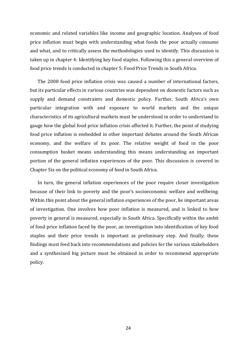economic and related variables like income and geographic location. Analyses of food price inflation must begin with understanding what foods the poor actually consume and what, and to critically assess the methodologies used to identify. This discussion is taken up in chapter 4: Identifying key food staples. Following this a general overview of food price trends is conducted in chapter 5: Food Price Trends in South Africa.

The 2008 food price inflation crisis was caused a number of international factors, but its particular effects in various countries was dependent on domestic factors such as supply and demand constraints and domestic policy. Further, South Africa's own particular integration with and exposure to world markets and the unique characteristics of its agricultural markets must be understood in order to understand to gauge how the global food price inflation crisis affected it. Further, the point of studying food price inflation is embedded in other important debates around the South African economy, and the welfare of its poor. The relative weight of food in the poor consumption basket means understanding this means understanding an important portion of the general inflation experiences of the poor. This discussion is covered in Chapter Six on the political economy of food in South Africa.

In turn, the general inflation experiences of the poor require closer investigation because of their link to poverty and the poor's socioeconomic welfare and wellbeing. Within this point about the general inflation experiences of the poor, lie important areas of investigation. One involves how poor inflation is measured, and is linked to how poverty in general is measured, especially in South Africa. Specifically within the ambit of food price inflation faced by the poor, an investigation into identification of key food staples and their price trends is important as preliminary step. And finally, these findings must feed back into recommendations and policies for the various stakeholders and a synthesized big picture must be obtained in order to recommend appropriate policy.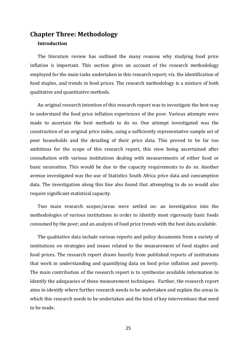# <span id="page-25-0"></span>**Chapter Three: Methodology**

### **Introduction**

The literature review has outlined the many reasons why studying food price inflation is important. This section gives an account of the research methodology employed for the main tasks undertaken in this research report; viz. the identification of food staples, and trends in food prices. The research methodology is a mixture of both qualitative and quantitative methods.

An original research intention of this research report was to investigate the best way to understand the food price inflation experiences of the poor. Various attempts were made to ascertain the best methods to do so. One attempt investigated was the construction of an original price index, using a sufficiently representative sample set of poor households and the detailing of their price data. This proved to be far too ambitious for the scope of this research report, this view being ascertained after consultation with various institutions dealing with measurements of either food or basic necessities. This would be due to the capacity requirements to do so. Another avenue investigated was the use of Statistics South Africa price data and consumption data. The investigation along this line also found that attempting to do so would also require significant statistical capacity.

Two main research scopes/areas were settled on: an investigation into the methodologies of various institutions in order to identify most rigorously basic foods consumed by the poor; and an analysis of food price trends with the best data available.

The qualitative data include various reports and policy documents from a variety of institutions on strategies and issues related to the measurement of food staples and food prices. The research report draws heavily from published reports of institutions that work in understanding and quantifying data on food price inflation and poverty. The main contribution of the research report is to synthesize available information to identify the adequacies of these measurement techniques. Further, the research report aims to identify where further research needs to be undertaken and explain the areas in which this research needs to be undertaken and the kind of key interventions that need to be made.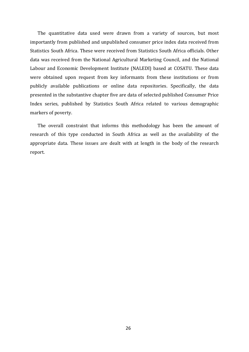The quantitative data used were drawn from a variety of sources, but most importantly from published and unpublished consumer price index data received from Statistics South Africa. These were received from Statistics South Africa officials. Other data was received from the National Agricultural Marketing Council, and the National Labour and Economic Development Institute (NALEDI) based at COSATU. These data were obtained upon request from key informants from these institutions or from publicly available publications or online data repositories. Specifically, the data presented in the substantive chapter five are data of selected published Consumer Price Index series, published by Statistics South Africa related to various demographic markers of poverty.

The overall constraint that informs this methodology has been the amount of research of this type conducted in South Africa as well as the availability of the appropriate data. These issues are dealt with at length in the body of the research report.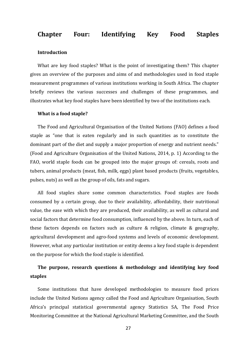# <span id="page-27-0"></span>**Chapter Four: Identifying Key Food Staples**

#### **Introduction**

What are key food staples? What is the point of investigating them? This chapter gives an overview of the purposes and aims of and methodologies used in food staple measurement programmes of various institutions working in South Africa. The chapter briefly reviews the various successes and challenges of these programmes, and illustrates what key food staples have been identified by two of the institutions each.

#### **What is a food staple?**

The Food and Agricultural Organisation of the United Nations (FAO) defines a food staple as "one that is eaten regularly and in such quantities as to constitute the dominant part of the diet and supply a major proportion of energy and nutrient needs." (Food and Agriculture Organisation of the United Nations, 2014, p. 1) According to the FAO, world staple foods can be grouped into the major groups of: cereals, roots and tubers, animal products (meat, fish, milk, eggs) plant based products (fruits, vegetables, pulses, nuts) as well as the group of oils, fats and sugars.

All food staples share some common characteristics. Food staples are foods consumed by a certain group, due to their availability, affordability, their nutritional value, the ease with which they are produced, their availability, as well as cultural and social factors that determine food consumption, influenced by the above. In turn, each of these factors depends on factors such as culture & religion, climate & geography, agricultural development and agro-food systems and levels of economic development. However, what any particular institution or entity deems a key food staple is dependent on the purpose for which the food staple is identified.

# **The purpose, research questions & methodology and identifying key food staples**

Some institutions that have developed methodologies to measure food prices include the United Nations agency called the Food and Agriculture Organisation, South Africa's principal statistical governmental agency Statistics SA, The Food Price Monitoring Committee at the National Agricultural Marketing Committee, and the South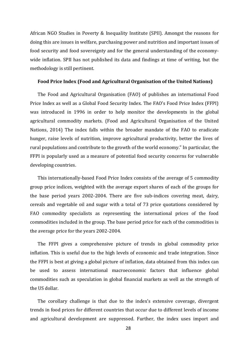African NGO Studies in Poverty & Inequality Institute (SPII). Amongst the reasons for doing this are issues in welfare, purchasing power and nutrition and important issues of food security and food sovereignty and for the general understanding of the economywide inflation. SPII has not published its data and findings at time of writing, but the methodology is still pertinent.

#### **Food Price Index (Food and Agricultural Organisation of the United Nations)**

The Food and Agricultural Organisation (FAO) of publishes an international Food Price Index as well as a Global Food Security Index. The FAO's Food Price Index (FFPI) was introduced in 1996 in order to help monitor the developments in the global agricultural commodity markets. (Food and Agricultural Organisation of the United Nations, 2014) The index falls within the broader mandate of the FAO to eradicate hunger, raise levels of nutrition, improve agricultural productivity, better the lives of rural populations and contribute to the growth of the world economy." In particular, the FFPI is popularly used as a measure of potential food security concerns for vulnerable developing countries.

This internationally-based Food Price Index consists of the average of 5 commodity group price indices, weighted with the average export shares of each of the groups for the base period years 2002-2004. There are five sub-indices covering meat, dairy, cereals and vegetable oil and sugar with a total of 73 price quotations considered by FAO commodity specialists as representing the international prices of the food commodities included in the group. The base period price for each of the commodities is the average price for the years 2002-2004.

The FFPI gives a comprehensive picture of trends in global commodity price inflation. This is useful due to the high levels of economic and trade integration. Since the FFPI is best at giving a global picture of inflation, data obtained from this index can be used to assess international macroeconomic factors that influence global commodities such as speculation in global financial markets as well as the strength of the US dollar.

The corollary challenge is that due to the index's extensive coverage, divergent trends in food prices for different countries that occur due to different levels of income and agricultural development are suppressed. Further, the index uses import and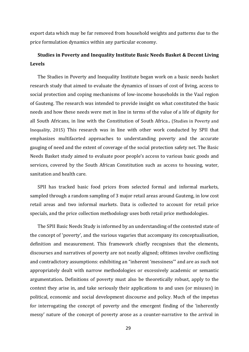export data which may be far removed from household weights and patterns due to the price formulation dynamics within any particular economy.

# **Studies in Poverty and Inequality Institute Basic Needs Basket & Decent Living Levels**

The Studies in Poverty and Inequality Institute began work on a basic needs basket research study that aimed to evaluate the dynamics of issues of cost of living, access to social protection and coping mechanisms of low-income households in the Vaal region of Gauteng. The research was intended to provide insight on what constituted the basic needs and how these needs were met in line in terms of the value of a life of dignity for all South Africans, in line with the Constitution of South Africa.**.** (Studies in Poverty and Inequality, 2015) This research was in line with other work conducted by SPII that emphasizes multifaceted approaches to understanding poverty and the accurate gauging of need and the extent of coverage of the social protection safety net. The Basic Needs Basket study aimed to evaluate poor people's access to various basic goods and services, covered by the South African Constitution such as access to housing, water, sanitation and health care.

SPII has tracked basic food prices from selected formal and informal markets, sampled through a random sampling of 3 major retail areas around Gauteng, in low cost retail areas and two informal markets. Data is collected to account for retail price specials, and the price collection methodology uses both retail price methodologies.

The SPII Basic Needs Study is informed by an understanding of the contested state of the concept of 'poverty', and the various vagaries that accompany its conceptualisation, definition and measurement. This framework chiefly recognises that the elements, discourses and narratives of poverty are not neatly aligned; ofttimes involve conflicting and contradictory assumptions: exhibiting an "inherent 'messiness'" and are as such not appropriately dealt with narrow methodologies or excessively academic or semantic argumentation**.** Definitions of poverty must also be theoretically robust, apply to the context they arise in, and take seriously their applications to and uses (or misuses) in political, economic and social development discourse and policy. Much of the impetus for interrogating the concept of poverty and the emergent finding of the 'inherently messy' nature of the concept of poverty arose as a counter-narrative to the arrival in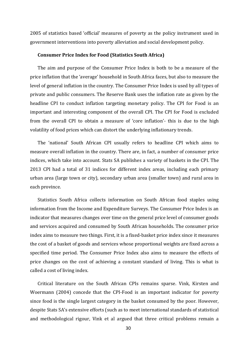2005 of statistics based 'official' measures of poverty as the policy instrument used in government interventions into poverty alleviation and social development policy.

#### **Consumer Price Index for Food (Statistics South Africa)**

The aim and purpose of the Consumer Price Index is both to be a measure of the price inflation that the 'average' household in South Africa faces, but also to measure the level of general inflation in the country. The Consumer Price Index is used by all types of private and public consumers. The Reserve Bank uses the inflation rate as given by the headline CPI to conduct inflation targeting monetary policy. The CPI for Food is an important and interesting component of the overall CPI. The CPI for Food is excluded from the overall CPI to obtain a measure of 'core inflation'- this is due to the high volatility of food prices which can distort the underlying inflationary trends.

The 'national' South African CPI usually refers to headline CPI which aims to measure overall inflation in the country. There are, in fact, a number of consumer price indices, which take into account. Stats SA publishes a variety of baskets in the CPI. The 2013 CPI had a total of 31 indices for different index areas, including each primary urban area (large town or city), secondary urban area (smaller town) and rural area in each province.

Statistics South Africa collects information on South African food staples using information from the Income and Expenditure Surveys. The Consumer Price Index is an indicator that measures changes over time on the general price level of consumer goods and services acquired and consumed by South African households. The consumer price index aims to measure two things. First, it is a fixed-basket price index since it measures the cost of a basket of goods and services whose proportional weights are fixed across a specified time period. The Consumer Price Index also aims to measure the effects of price changes on the cost of achieving a constant standard of living. This is what is called a cost of living index.

Critical literature on the South African CPIs remains sparse. Vink, Kirsten and Woermann (2004) concede that the CPI-Food is an important indicator for poverty since food is the single largest category in the basket consumed by the poor. However, despite Stats SA's extensive efforts (such as to meet international standards of statistical and methodological rigour, Vink et al argued that three critical problems remain a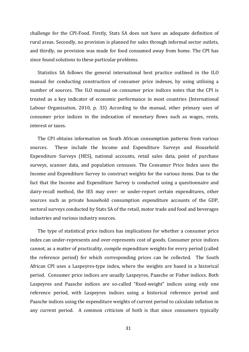challenge for the CPI-Food. Firstly, Stats SA does not have an adequate definition of rural areas. Secondly, no provision is planned for sales through informal sector outlets, and thirdly, no provision was made for food consumed away from home. The CPI has since found solutions to these particular problems.

Statistics SA follows the general international best practice outlined in the ILO manual for conducting construction of consumer price indexes, by using utilising a number of sources. The ILO manual on consumer price indices notes that the CPI is treated as a key indicator of economic performance in most countries (International Labour Organisation, 2010, p. 33) According to the manual, other primary uses of consumer price indices in the indexation of monetary flows such as wages, rents, interest or taxes.

The CPI obtains information on South African consumption patterns from various sources. These include the Income and Expenditure Surveys and Household Expenditure Surveys (HES), national accounts, retail sales data, point of purchase surveys, scanner data, and population censuses. The Consumer Price Index uses the Income and Expenditure Survey to construct weights for the various items. Due to the fact that the Income and Expenditure Survey is conducted using a questionnaire and dairy-recall method, the IES may over- or under-report certain expenditures, other sources such as private household consumption expenditure accounts of the GDP, sectoral surveys conducted by Stats SA of the retail, motor trade and food and beverages industries and various industry sources.

The type of statistical price indices has implications for whether a consumer price index can under-represents and over-represents cost of goods. Consumer price indices cannot, as a matter of practicality, compile expenditure weights for every period (called the reference period) for which corresponding prices can be collected. The South African CPI uses a Laspeyres-type index, where the weights are based in a historical period. Consumer price indices are usually Laspeyres, Paasche or Fisher indices. Both Laspeyres and Paasche indices are so-called "fixed-weight" indices using only one reference period, with Laspeyres indices using a historical reference period and Paasche indices using the expenditure weights of current period to calculate inflation in any current period. A common criticism of both is that since consumers typically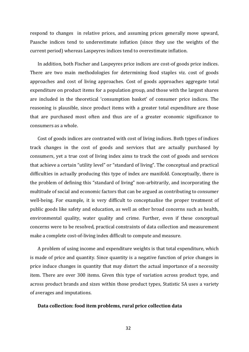respond to changes in relative prices, and assuming prices generally move upward, Paasche indices tend to underestimate inflation (since they use the weights of the current period) whereas Laspeyres indices tend to overestimate inflation.

In addition, both Fischer and Laspeyres price indices are cost-of goods price indices. There are two main methodologies for determining food staples viz. cost of goods approaches and cost of living approaches. Cost of goods approaches aggregate total expenditure on product items for a population group, and those with the largest shares are included in the theoretical 'consumption basket' of consumer price indices. The reasoning is plausible, since product items with a greater total expenditure are those that are purchased most often and thus are of a greater economic significance to consumers as a whole.

Cost of goods indices are contrasted with cost of living indices. Both types of indices track changes in the cost of goods and services that are actually purchased by consumers, yet a true cost of living index aims to track the cost of goods and services that achieve a certain "utility level" or "standard of living". The conceptual and practical difficulties in actually producing this type of index are manifold. Conceptually, there is the problem of defining this "standard of living" non-arbitrarily, and incorporating the multitude of social and economic factors that can be argued as contributing to consumer well-being. For example, it is very difficult to conceptualise the proper treatment of public goods like safety and education, as well as other broad concerns such as health, environmental quality, water quality and crime. Further, even if these conceptual concerns were to be resolved, practical constraints of data collection and measurement make a complete cost-of-living index difficult to compute and measure.

A problem of using income and expenditure weights is that total expenditure, which is made of price and quantity. Since quantity is a negative function of price changes in price induce changes in quantity that may distort the actual importance of a necessity item. There are over 300 items. Given this type of variation across product type, and across product brands and sizes within those product types, Statistic SA uses a variety of averages and imputations.

#### **Data collection: food item problems, rural price collection data**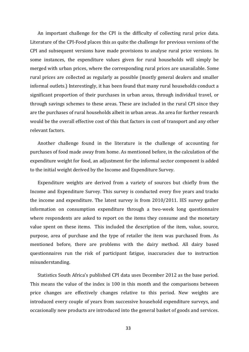An important challenge for the CPI is the difficulty of collecting rural price data. Literature of the CPI-Food places this as quite the challenge for previous versions of the CPI and subsequent versions have made provisions to analyse rural price versions. In some instances, the expenditure values given for rural households will simply be merged with urban prices, where the corresponding rural prices are unavailable. Some rural prices are collected as regularly as possible (mostly general dealers and smaller informal outlets.) Interestingly, it has been found that many rural households conduct a significant proportion of their purchases in urban areas, through individual travel, or through savings schemes to these areas. These are included in the rural CPI since they are the purchases of rural households albeit in urban areas. An area for further research would be the overall effective cost of this that factors in cost of transport and any other relevant factors.

Another challenge found in the literature is the challenge of accounting for purchases of food made away from home. As mentioned before, in the calculation of the expenditure weight for food, an adjustment for the informal sector component is added to the initial weight derived by the Income and Expenditure Survey.

Expenditure weights are derived from a variety of sources but chiefly from the Income and Expenditure Survey. This survey is conducted every five years and tracks the income and expenditure. The latest survey is from 2010/2011. IES survey gather information on consumption expenditure through a two-week long questionnaire where respondents are asked to report on the items they consume and the monetary value spent on these items. This included the description of the item, value, source, purpose, area of purchase and the type of retailer the item was purchased from. As mentioned before, there are problems with the dairy method. All dairy based questionnaires run the risk of participant fatigue, inaccuracies due to instruction misunderstanding.

Statistics South Africa's published CPI data uses December 2012 as the base period. This means the value of the index is 100 in this month and the comparisons between price changes are effectively changes relative to this period. New weights are introduced every couple of years from successive household expenditure surveys, and occasionally new products are introduced into the general basket of goods and services.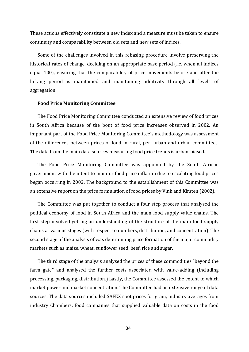These actions effectively constitute a new index and a measure must be taken to ensure continuity and comparability between old sets and new sets of indices.

Some of the challenges involved in this rebasing procedure involve preserving the historical rates of change, deciding on an appropriate base period (i.e. when all indices equal 100), ensuring that the comparability of price movements before and after the linking period is maintained and maintaining additivity through all levels of aggregation.

#### **Food Price Monitoring Committee**

The Food Price Monitoring Committee conducted an extensive review of food prices in South Africa because of the bout of food price increases observed in 2002. An important part of the Food Price Monitoring Committee's methodology was assessment of the differences between prices of food in rural, peri-urban and urban committees. The data from the main data sources measuring food price trends is urban-biased.

The Food Price Monitoring Committee was appointed by the South African government with the intent to monitor food price inflation due to escalating food prices began occurring in 2002. The background to the establishment of this Committee was an extensive report on the price formulation of food prices by Vink and Kirsten (2002).

The Committee was put together to conduct a four step process that analysed the political economy of food in South Africa and the main food supply value chains. The first step involved getting an understanding of the structure of the main food supply chains at various stages (with respect to numbers, distribution, and concentration). The second stage of the analysis of was determining price formation of the major commodity markets such as maize, wheat, sunflower seed, beef, rice and sugar.

The third stage of the analysis analysed the prices of these commodities "beyond the farm gate" and analysed the further costs associated with value-adding (including processing, packaging, distribution.) Lastly, the Committee assessed the extent to which market power and market concentration. The Committee had an extensive range of data sources. The data sources included SAFEX spot prices for grain, industry averages from industry Chambers, food companies that supplied valuable data on costs in the food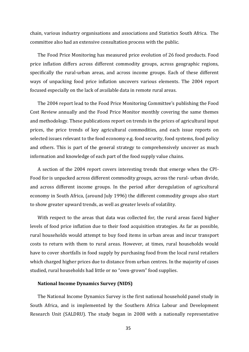chain, various industry organisations and associations and Statistics South Africa. The committee also had an extensive consultation process with the public.

The Food Price Monitoring has measured price evolution of 26 food products. Food price inflation differs across different commodity groups, across geographic regions, specifically the rural-urban areas, and across income groups. Each of these different ways of unpacking food price inflation uncovers various elements. The 2004 report focused especially on the lack of available data in remote rural areas.

The 2004 report lead to the Food Price Monitoring Committee's publishing the Food Cost Review annually and the Food Price Monitor monthly covering the same themes and methodology. These publications report on trends in the prices of agricultural input prices, the price trends of key agricultural commodities, and each issue reports on selected issues relevant to the food economy e.g. food security, food systems, food policy and others. This is part of the general strategy to comprehensively uncover as much information and knowledge of each part of the food supply value chains.

A section of the 2004 report covers interesting trends that emerge when the CPI-Food for is unpacked across different commodity groups, across the rural- urban divide, and across different income groups. In the period after deregulation of agricultural economy in South Africa, (around July 1996) the different commodity groups also start to show greater upward trends, as well as greater levels of volatility.

With respect to the areas that data was collected for, the rural areas faced higher levels of food price inflation due to their food acquisition strategies. As far as possible, rural households would attempt to buy food items in urban areas and incur transport costs to return with them to rural areas. However, at times, rural households would have to cover shortfalls in food supply by purchasing food from the local rural retailers which charged higher prices due to distance from urban centres. In the majority of cases studied, rural households had little or no "own-grown" food supplies.

#### **National Income Dynamics Survey (NIDS)**

The National Income Dynamics Survey is the first national household panel study in South Africa, and is implemented by the Southern Africa Labour and Development Research Unit (SALDRU). The study began in 2008 with a nationally representative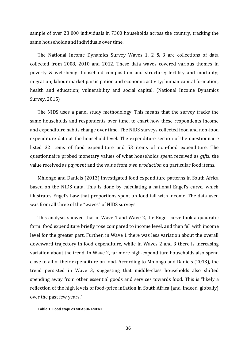sample of over 28 000 individuals in 7300 households across the country, tracking the same households and individuals over time.

The National Income Dynamics Survey Waves 1, 2 & 3 are collections of data collected from 2008, 2010 and 2012. These data waves covered various themes in poverty & well-being; household composition and structure; fertility and mortality; migration; labour market participation and economic activity; human capital formation, health and education; vulnerability and social capital. (National Income Dynamics Survey, 2015)

The NIDS uses a panel study methodology. This means that the survey tracks the same households and respondents over time, to chart how these respondents income and expenditure habits change over time. The NIDS surveys collected food and non-food expenditure data at the household level. The expenditure section of the questionnaire listed 32 items of food expenditure and 53 items of non-food expenditure. The questionnaire probed monetary values of what households *spent,* received as *gifts*, the value received as *payment* and the value from *own production* on particular food items.

Mhlongo and Daniels (2013) investigated food expenditure patterns in South Africa based on the NIDS data. This is done by calculating a national Engel's curve, which illustrates Engel's Law that proportions spent on food fall with income. The data used was from all three of the "waves" of NIDS surveys.

This analysis showed that in Wave 1 and Wave 2, the Engel curve took a quadratic form: food expenditure briefly rose compared to income level, and then fell with income level for the greater part. Further, in Wave 1 there was less variation about the overall downward trajectory in food expenditure, while in Waves 2 and 3 there is increasing variation about the trend. In Wave 2, far more high-expenditure households also spend close to all of their expenditure on food. According to Mhlongo and Daniels (2013), the trend persisted in Wave 3, suggesting that middle-class households also shifted spending away from other essential goods and services towards food. This is "likely a reflection of the high levels of food-price inflation in South Africa (and, indeed, globally) over the past few years."

#### **Table 1: Food stapLes MEASUREMENT**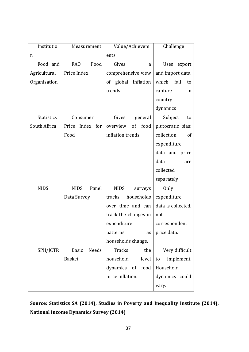| Institutio        | Measurement           | Value/Achievem                     | Challenge             |  |
|-------------------|-----------------------|------------------------------------|-----------------------|--|
| n                 |                       | ents                               |                       |  |
| Food and          | Food<br><b>FAO</b>    | Gives<br>a                         | <b>Uses</b><br>export |  |
| Agricultural      | Price Index           | comprehensive view                 | and import data,      |  |
| Organisation      |                       | of global inflation                | which<br>fail<br>to   |  |
|                   |                       | trends                             | capture<br>in         |  |
|                   |                       |                                    | country               |  |
|                   |                       |                                    | dynamics              |  |
| <b>Statistics</b> | Consumer              | Gives<br>general                   | Subject<br>to         |  |
| South Africa      | Price<br>Index for    | overview<br>of<br>food             | plutocratic bias;     |  |
|                   | Food                  | inflation trends                   | collection<br>of      |  |
|                   |                       |                                    | expenditure           |  |
|                   |                       |                                    | data and price        |  |
|                   |                       |                                    | data<br>are           |  |
|                   |                       |                                    | collected             |  |
|                   |                       |                                    | separately            |  |
| <b>NIDS</b>       | Panel<br><b>NIDS</b>  | <b>NIDS</b><br>surveys             | Only                  |  |
|                   | Data Survey           | households<br>tracks               | expenditure           |  |
|                   |                       | over time and can                  | data is collected,    |  |
|                   |                       | track the changes in               | not                   |  |
|                   |                       | expenditure                        | correspondent         |  |
|                   |                       | patterns<br>as                     | price data.           |  |
|                   |                       | households change.                 |                       |  |
| SPII/JCTR         | Needs<br><b>Basic</b> | <b>Tracks</b><br>the               | Very difficult        |  |
|                   | <b>Basket</b>         | household<br>level                 | implement.<br>to      |  |
|                   |                       | dynamics of<br>food                | Household             |  |
|                   |                       | price inflation.<br>dynamics could |                       |  |
|                   |                       |                                    | vary.                 |  |

**Source: Statistics SA (2014), Studies in Poverty and Inequality Institute (2014), National Income Dynamics Survey (2014)**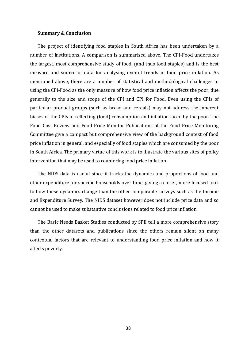#### **Summary & Conclusion**

The project of identifying food staples in South Africa has been undertaken by a number of institutions. A comparison is summarised above. The CPI-Food undertakes the largest, most comprehensive study of food, (and thus food staples) and is the best measure and source of data for analysing overall trends in food price inflation. As mentioned above, there are a number of statistical and methodological challenges to using the CPI-Food as the only measure of how food price inflation affects the poor, due generally to the size and scope of the CPI and CPI for Food. Even using the CPIs of particular product groups (such as bread and cereals) may not address the inherent biases of the CPIs in reflecting (food) consumption and inflation faced by the poor. The Food Cost Review and Food Price Monitor Publications of the Food Price Monitoring Committee give a compact but comprehensive view of the background context of food price inflation in general, and especially of food staples which are consumed by the poor in South Africa. The primary virtue of this work is to illustrate the various sites of policy intervention that may be used to countering food price inflation.

The NIDS data is useful since it tracks the dynamics and proportions of food and other expenditure for specific households over time, giving a closer, more focused look to how these dynamics change than the other comparable surveys such as the Income and Expenditure Survey. The NIDS dataset however does not include price data and so cannot be used to make substantive conclusions related to food price inflation.

The Basic Needs Basket Studies conducted by SPII tell a more comprehensive story than the other datasets and publications since the others remain silent on many contextual factors that are relevant to understanding food price inflation and how it affects poverty.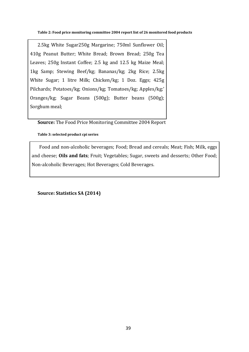**Table 2: Food price monitoring committee 2004 report list of 26 monitored food products**

2.5kg White Sugar250g Margarine; 750ml Sunflower Oil; 410g Peanut Butter; White Bread; Brown Bread; 250g Tea Leaves; 250g Instant Coffee; 2.5 kg and 12.5 kg Maize Meal; 1kg Samp; Stewing Beef/kg; Bananas/kg; 2kg Rice; 2.5kg White Sugar; 1 litre Milk; Chicken/kg; 1 Doz. Eggs; 425g Pilchards; Potatoes/kg; Onions/kg; Tomatoes/kg; Apples/kg;' Oranges/kg; Sugar Beans (500g); Butter beans (500g); Sorghum meal;

**Source:** The Food Price Monitoring Committee 2004 Report

**Table 3: selected product cpi series**

Food and non-alcoholic beverages; Food; Bread and cereals; Meat; Fish; Milk, eggs and cheese; **Oils and fats**; Fruit; Vegetables; Sugar, sweets and desserts; Other Food; Non-alcoholic Beverages; Hot Beverages; Cold Beverages.

**Source: Statistics SA (2014)**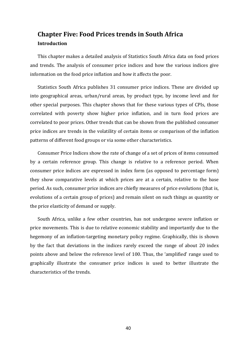# <span id="page-40-0"></span>**Chapter Five: Food Prices trends in South Africa Introduction**

This chapter makes a detailed analysis of Statistics South Africa data on food prices and trends. The analysis of consumer price indices and how the various indices give information on the food price inflation and how it affects the poor.

Statistics South Africa publishes 31 consumer price indices. These are divided up into geographical areas, urban/rural areas, by product type, by income level and for other special purposes. This chapter shows that for these various types of CPIs, those correlated with poverty show higher price inflation, and in turn food prices are correlated to poor prices. Other trends that can be shown from the published consumer price indices are trends in the volatility of certain items or comparison of the inflation patterns of different food groups or via some other characteristics.

Consumer Price Indices show the rate of change of a set of prices of items consumed by a certain reference group. This change is relative to a reference period. When consumer price indices are expressed in index form (as opposed to percentage form) they show comparative levels at which prices are at a certain, relative to the base period. As such, consumer price indices are chiefly measures of price evolutions (that is, evolutions of a certain group of prices) and remain silent on such things as quantity or the price elasticity of demand or supply.

South Africa, unlike a few other countries, has not undergone severe inflation or price movements. This is due to relative economic stability and importantly due to the hegemony of an inflation-targeting monetary policy regime. Graphically, this is shown by the fact that deviations in the indices rarely exceed the range of about 20 index points above and below the reference level of 100. Thus, the 'amplified' range used to graphically illustrate the consumer price indices is used to better illustrate the characteristics of the trends.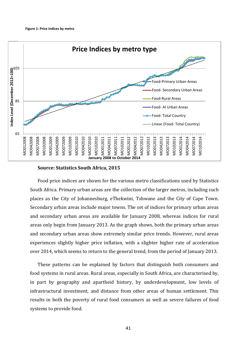

#### **Source: Statistics South Africa, 2015**

Food price indices are shown for the various metro classifications used by Statistics South Africa. Primary urban areas are the collection of the larger metros, including such places as the City of Johannesburg, eThekwini, Tshwane and the City of Cape Town. Secondary urban areas include major towns. The set of indices for primary urban areas and secondary urban areas are available for January 2008, whereas indices for rural areas only begin from January 2013. As the graph shows, both the primary urban areas and secondary urban areas show extremely similar price trends. However, rural areas experiences slightly higher price inflation, with a slighter higher rate of acceleration over 2014, which seems to return to the general trend, from the period of January 2013.

These patterns can be explained by factors that distinguish both consumers and food systems in rural areas. Rural areas, especially in South Africa, are characterised by, in part by geography and apartheid history, by underdevelopment, low levels of infrastructural investment, and distance from other areas of human settlement. This results in both the poverty of rural food consumers as well as severe failures of food systems to provide food.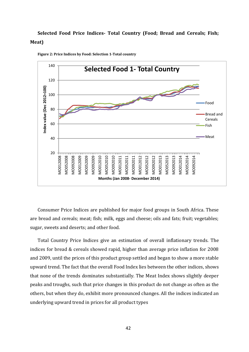# **Selected Food Price Indices- Total Country (Food; Bread and Cereals; Fish; Meat)**

<span id="page-42-0"></span>

**Figure 2: Price Indices by Food: Selection 1-Total country**

Consumer Price Indices are published for major food groups in South Africa. These are bread and cereals; meat; fish; milk, eggs and cheese; oils and fats; fruit; vegetables; sugar, sweets and deserts; and other food.

Total Country Price Indices give an estimation of overall inflationary trends. The indices for bread & cereals showed rapid, higher than average price inflation for 2008 and 2009, until the prices of this product group settled and began to show a more stable upward trend. The fact that the overall Food Index lies between the other indices, shows that none of the trends dominates substantially. The Meat Index shows slightly deeper peaks and troughs, such that price changes in this product do not change as often as the others, but when they do, exhibit more pronounced changes. All the indices indicated an underlying upward trend in prices for all product types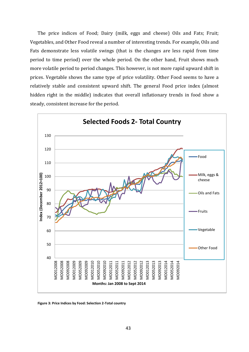The price indices of Food; Dairy (milk, eggs and cheese) Oils and Fats; Fruit; Vegetables, and Other Food reveal a number of interesting trends. For example, Oils and Fats demonstrate less volatile swings (that is the changes are less rapid from time period to time period) over the whole period. On the other hand, Fruit shows much more volatile period to period changes. This however, is not more rapid upward shift in prices. Vegetable shows the same type of price volatility. Other Food seems to have a relatively stable and consistent upward shift. The general Food price index (almost hidden right in the middle) indicates that overall inflationary trends in food show a steady, consistent increase for the period.



<span id="page-43-0"></span>**Figure 3: Price Indices by Food: Selection 2-Total country**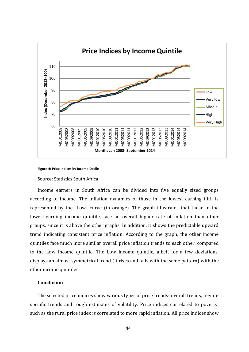

<span id="page-44-0"></span>

#### Source: Statistics South Africa

Income earners in South Africa can be divided into five equally sized groups according to income. The inflation dynamics of those in the lowest earning fifth is represented by the "Low" curve (in orange). The graph illustrates that those in the lowest-earning income quintile, face an overall higher rate of inflation than other groups, since it is above the other graphs. In addition, it shows the predictable upward trend indicating consistent price inflation. According to the graph, the other income quintiles face much more similar overall price inflation trends to each other, compared to the Low income quintile. The Low Income quintile, albeit for a few deviations, displays an almost symmetrical trend (it rises and falls with the same pattern) with the other income quintiles.

### **Conclusion**

The selected price indices show various types of price trends- overall trends, regionspecific trends and rough estimates of volatility. Price indices correlated to poverty, such as the rural price index is correlated to more rapid inflation. All price indices show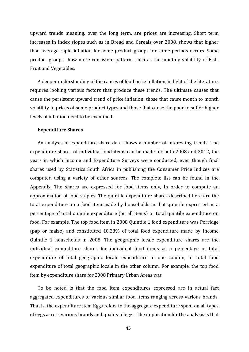upward trends meaning, over the long term, are prices are increasing. Short term increases in index slopes such as in Bread and Cereals over 2008, shows that higher than average rapid inflation for some product groups for some periods occurs. Some product groups show more consistent patterns such as the monthly volatility of Fish, Fruit and Vegetables.

A deeper understanding of the causes of food price inflation, in light of the literature, requires looking various factors that produce these trends. The ultimate causes that cause the persistent upward trend of price inflation, those that cause month to month volatility in prices of some product types and those that cause the poor to suffer higher levels of inflation need to be examined.

#### **Expenditure Shares**

An analysis of expenditure share data shows a number of interesting trends. The expenditure shares of individual food items can be made for both 2008 and 2012, the years in which Income and Expenditure Surveys were conducted, even though final shares used by Statistics South Africa in publishing the Consumer Price Indices are computed using a variety of other sources. The complete list can be found in the Appendix. The shares are expressed for food items only, in order to compute an approximation of food staples. The quintile expenditure shares described here are the total expenditure on a food item made by households in that quintile expressed as a percentage of total quintile expenditure (on all items) or total quintile expenditure on food. For example, The top food item in 2008 Quintile 1 food expenditure was Porridge (pap or maize) and constituted 10.28% of total food expenditure made by Income Quintile 1 households in 2008. The geographic locale expenditure shares are the individual expenditure shares for individual food items as a percentage of total expenditure of total geographic locale expenditure in one column, or total food expenditure of total geographic locale in the other column. For example, the top food item by expenditure share for 2008 Primary Urban Areas was

To be noted is that the food item expenditures expressed are in actual fact aggregated expenditures of various similar food items ranging across various brands. That is, the expenditure item Eggs refers to the aggregate expenditure spent on all types of eggs across various brands and quality of eggs. The implication for the analysis is that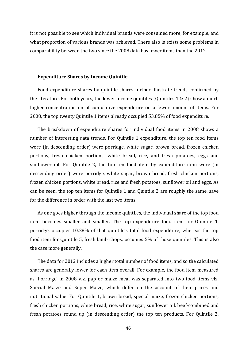it is not possible to see which individual brands were consumed more, for example, and what proportion of various brands was achieved. There also is exists some problems in comparability between the two since the 2008 data has fewer items than the 2012.

#### **Expenditure Shares by Income Quintile**

Food expenditure shares by quintile shares further illustrate trends confirmed by the literature. For both years, the lower income quintiles (Quintiles 1 & 2) show a much higher concentration on of cumulative expenditure on a fewer amount of items. For 2008, the top twenty Quintile 1 items already occupied 53.85% of food expenditure.

The breakdown of expenditure shares for individual food items in 2008 shows a number of interesting data trends. For Quintile 1 expenditure, the top ten food items were (in descending order) were porridge, white sugar, brown bread, frozen chicken portions, fresh chicken portions, white bread, rice, and fresh potatoes, eggs and sunflower oil. For Quintile 2, the top ten food item by expenditure item were (in descending order) were porridge, white sugar, brown bread, fresh chicken portions, frozen chicken portions, white bread, rice and fresh potatoes, sunflower oil and eggs. As can be seen, the top ten items for Quintile 1 and Quintile 2 are roughly the same, save for the difference in order with the last two items.

As one goes higher through the income quintiles, the individual share of the top food item becomes smaller and smaller. The top expenditure food item for Quintile 1, porridge, occupies 10.28% of that quintile's total food expenditure, whereas the top food item for Quintile 5, fresh lamb chops, occupies 5% of those quintiles. This is also the case more generally.

The data for 2012 includes a higher total number of food items, and so the calculated shares are generally lower for each item overall. For example, the food item measured as 'Porridge' in 2008 viz. pap or maize meal was separated into two food items viz. Special Maize and Super Maize, which differ on the account of their prices and nutritional value. For Quintile 1, brown bread, special maize, frozen chicken portions, fresh chicken portions, white bread, rice, white sugar, sunflower oil, beef-combined and fresh potatoes round up (in descending order) the top ten products. For Quintile 2,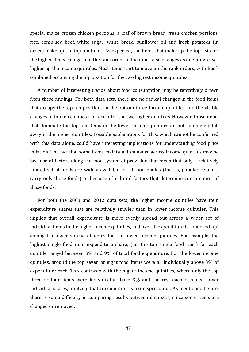special maize, frozen chicken portions, a loaf of brown bread, fresh chicken portions, rice, combined beef, white sugar, white bread, sunflower oil and fresh potatoes (in order) make up the top ten items. As expected, the items that make up the top lists for the higher items change, and the rank order of the items also changes as one progresses higher up the income quintiles. Meat items start to move up the rank orders, with Beefcombined occupying the top position for the two highest income quintiles.

A number of interesting trends about food consumption may be tentatively drawn from these findings. For both data sets, there are no radical changes in the food items that occupy the top ten positions in the bottom three income quintiles and the visible changes in top ten composition occur for the two higher quintiles. However, those items that dominate the top ten items in the lower income quintiles do not completely fall away in the higher quintiles. Possible explanations for this, which cannot be confirmed with this data alone, could have interesting implications for understanding food price inflation. The fact that some items maintain dominance across income quintiles may be because of factors along the food system of provision that mean that only a relatively limited set of foods are widely available for all households (that is, popular retailers carry only those foods) or because of cultural factors that determine consumption of those foods.

For both the 2008 and 2012 data sets, the higher income quintiles have item expenditure shares that are relatively smaller than in lower income quintiles. This implies that overall expenditure is more evenly spread out across a wider set of individual items in the higher income quintiles, and overall expenditure is "bunched up" amongst a fewer spread of items for the lower income quintiles. For example, the highest single food item expenditure share, (i.e. the top single food item) for each quintile ranged between 8% and 9% of total food expenditure. For the lower income quintiles, around the top seven or eight food items were all individually above 3% of expenditure each. This contrasts with the higher income quintiles, where only the top three or four items were individually above 3% and the rest each occupied lower individual shares, implying that consumption is more spread out. As mentioned before, there is some difficulty in comparing results between data sets, since some items are changed or removed.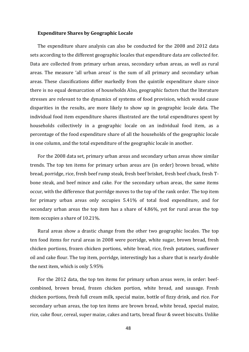#### **Expenditure Shares by Geographic Locale**

The expenditure share analysis can also be conducted for the 2008 and 2012 data sets according to the different geographic locales that expenditure data are collected for. Data are collected from primary urban areas, secondary urban areas, as well as rural areas. The measure 'all urban areas' is the sum of all primary and secondary urban areas. These classifications differ markedly from the quintile expenditure share since there is no equal demarcation of households Also, geographic factors that the literature stresses are relevant to the dynamics of systems of food provision, which would cause disparities in the results, are more likely to show up in geographic locale data. The individual food item expenditure shares illustrated are the total expenditures spent by households collectively in a geographic locale on an individual food item, as a percentage of the food expenditure share of all the households of the geographic locale in one column, and the total expenditure of the geographic locale in another.

For the 2008 data set, primary urban areas and secondary urban areas show similar trends. The top ten items for primary urban areas are (in order) brown bread, white bread, porridge, rice, fresh beef rump steak, fresh beef brisket, fresh beef chuck, fresh Tbone steak, and beef mince and cake. For the secondary urban areas, the same items occur, with the difference that porridge moves to the top of the rank order. The top item for primary urban areas only occupies 5.41% of total food expenditure, and for secondary urban areas the top item has a share of 4.86%, yet for rural areas the top item occupies a share of 10.21%.

Rural areas show a drastic change from the other two geographic locales. The top ten food items for rural areas in 2008 were porridge, white sugar, brown bread, fresh chicken portions, frozen chicken portions, white bread, rice, fresh potatoes, sunflower oil and cake flour. The top item, porridge, interestingly has a share that is nearly double the next item, which is only 5.95%

For the 2012 data, the top ten items for primary urban areas were, in order: beefcombined, brown bread, frozen chicken portion, white bread, and sausage. Fresh chicken portions, fresh full cream milk, special maize, bottle of fizzy drink, and rice. For secondary urban areas, the top ten items are brown bread, white bread, special maize, rice, cake flour, cereal, super maize, cakes and tarts, bread flour & sweet biscuits. Unlike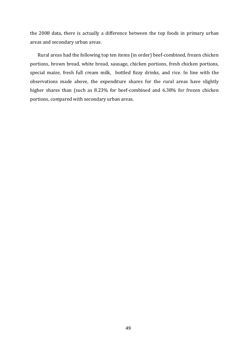the 2008 data, there is actually a difference between the top foods in primary urban areas and secondary urban areas.

Rural areas had the following top ten items (in order) beef-combined, frozen chicken portions, brown bread, white bread, sausage, chicken portions, fresh chicken portions, special maize, fresh full cream milk, bottled fizzy drinks, and rice. In line with the observations made above, the expenditure shares for the rural areas have slightly higher shares than (such as 8.23% for beef-combined and 6.38% for frozen chicken portions, compared with secondary urban areas.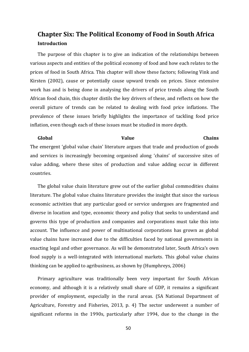# <span id="page-50-0"></span>**Chapter Six: The Political Economy of Food in South Africa Introduction**

The purpose of this chapter is to give an indication of the relationships between various aspects and entities of the political economy of food and how each relates to the prices of food in South Africa. This chapter will show these factors; following Vink and Kirsten (2002), cause or potentially cause upward trends on prices. Since extensive work has and is being done in analysing the drivers of price trends along the South African food chain, this chapter distils the key drivers of these, and reflects on how the overall picture of trends can be related to dealing with food price inflations. The prevalence of these issues briefly highlights the importance of tackling food price inflation, even though each of these issues must be studied in more depth.

# **Global Value Chains** The emergent 'global value chain' literature argues that trade and production of goods and services is increasingly becoming organised along 'chains' of successive sites of value adding, where these sites of production and value adding occur in different countries.

The global value chain literature grew out of the earlier global commodities chains literature. The global value chains literature provides the insight that since the various economic activities that any particular good or service undergoes are fragmented and diverse in location and type, economic theory and policy that seeks to understand and governs this type of production and companies and corporations must take this into account. The influence and power of multinational corporations has grown as global value chains have increased due to the difficulties faced by national governments in enacting legal and other governance. As will be demonstrated later, South Africa's own food supply is a well-integrated with international markets. This global value chains thinking can be applied to agribusiness, as shown by (Humphreys, 2006)

Primary agriculture was traditionally been very important for South African economy, and although it is a relatively small share of GDP, it remains a significant provider of employment, especially in the rural areas. (SA National Department of Agriculture, Forestry and Fisheries, 2013, p. 4) The sector underwent a number of significant reforms in the 1990s, particularly after 1994, due to the change in the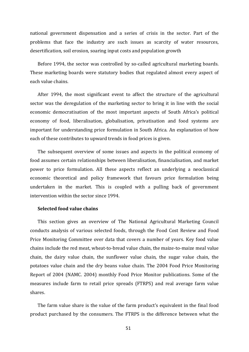national government dispensation and a series of crisis in the sector. Part of the problems that face the industry are such issues as scarcity of water resources, desertification, soil erosion, soaring input costs and population growth

Before 1994, the sector was controlled by so-called agricultural marketing boards. These marketing boards were statutory bodies that regulated almost every aspect of each value chains.

After 1994, the most significant event to affect the structure of the agricultural sector was the deregulation of the marketing sector to bring it in line with the social economic democratisation of the most important aspects of South Africa's political economy of food, liberalisation, globalisation, privatisation and food systems are important for understanding price formulation in South Africa. An explanation of how each of these contributes to upward trends in food prices is given.

The subsequent overview of some issues and aspects in the political economy of food assumes certain relationships between liberalisation, financialisation, and market power to price formulation. All these aspects reflect an underlying a neoclassical economic theoretical and policy framework that favours price formulation being undertaken in the market. This is coupled with a pulling back of government intervention within the sector since 1994.

#### **Selected food value chains**

This section gives an overview of The National Agricultural Marketing Council conducts analysis of various selected foods, through the Food Cost Review and Food Price Monitoring Committee over data that covers a number of years. Key food value chains include the red meat, wheat-to-bread value chain, the maize-to-maize meal value chain, the dairy value chain, the sunflower value chain, the sugar value chain, the potatoes value chain and the dry beans value chain. The 2004 Food Price Monitoring Report of 2004 (NAMC. 2004) monthly Food Price Monitor publications. Some of the measures include farm to retail price spreads (FTRPS) and real average farm value shares.

The farm value share is the value of the farm product's equivalent in the final food product purchased by the consumers. The FTRPS is the difference between what the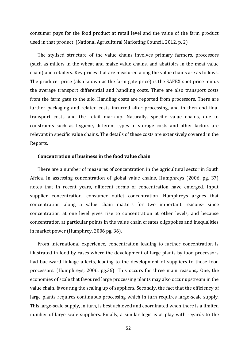consumer pays for the food product at retail level and the value of the farm product used in that product (National Agricultural Marketing Council, 2012, p. 2)

The stylised structure of the value chains involves primary farmers, processors (such as millers in the wheat and maize value chains, and abattoirs in the meat value chain) and retailers. Key prices that are measured along the value chains are as follows. The producer price (also known as the farm gate price) is the SAFEX spot price minus the average transport differential and handling costs. There are also transport costs from the farm gate to the silo. Handling costs are reported from processors. There are further packaging and related costs incurred after processing, and in then end final transport costs and the retail mark-up. Naturally, specific value chains, due to constraints such as hygiene, different types of storage costs and other factors are relevant in specific value chains. The details of these costs are extensively covered in the Reports.

#### **Concentration of business in the food value chain**

There are a number of measures of concentration in the agricultural sector in South Africa. In assessing concentration of global value chains, Humphreys (2006, pg. 37) notes that in recent years, different forms of concentration have emerged. Input supplier concentration, consumer outlet concentration. Humphreys argues that concentration along a value chain matters for two important reasons- since concentration at one level gives rise to concentration at other levels, and because concentration at particular points in the value chain creates oligopolies and inequalities in market power (Humphrey, 2006 pg. 36).

From international experience, concentration leading to further concentration is illustrated in food by cases where the development of large plants by food processors had backward linkage affects, leading to the development of suppliers to those food processors. (Humphreys, 2006, pg.36) This occurs for three main reasons,. One, the economies of scale that favoured large processing plants may also occur upstream in the value chain, favouring the scaling up of suppliers. Secondly, the fact that the efficiency of large plants requires continuous processing which in turn requires large-scale supply. This large-scale supply, in turn, is best achieved and coordinated when there is a limited number of large scale suppliers. Finally, a similar logic is at play with regards to the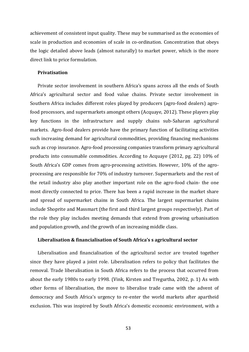achievement of consistent input quality. These may be summarised as the economies of scale in production and economies of scale in co-ordination. Concentration that obeys the logic detailed above leads (almost naturally) to market power, which is the more direct link to price formulation.

#### **Privatisation**

Private sector involvement in southern Africa's spans across all the ends of South Africa's agricultural sector and food value chains. Private sector involvement in Southern Africa includes different roles played by producers (agro-food dealers) agrofood processors, and supermarkets amongst others (Acquaye, 2012). These players play key functions in the infrastructure and supply chains sub-Saharan agricultural markets. Agro-food dealers provide have the primary function of facilitating activities such increasing demand for agricultural commodities, providing financing mechanisms such as crop insurance. Agro-food processing companies transform primary agricultural products into consumable commodities. According to Acquaye (2012, pg. 22) 10% of South Africa's GDP comes from agro-processing activities. However, 10% of the agroprocessing are responsible for 70% of industry turnover. Supermarkets and the rest of the retail industry also play another important role on the agro-food chain- the one most directly connected to price. There has been a rapid increase in the market share and spread of supermarket chains in South Africa. The largest supermarket chains include Shoprite and Massmart (the first and third largest groups respectively). Part of the role they play includes meeting demands that extend from growing urbanisation and population growth, and the growth of an increasing middle class.

#### **Liberalisation & financialisation of South Africa's s agricultural sector**

Liberalisation and financialisation of the agricultural sector are treated together since they have played a joint role. Liberalisation refers to policy that facilitates the removal. Trade liberalisation in South Africa refers to the process that occurred from about the early 1980s to early 1998. (Vink, Kirsten and Tregurtha, 2002, p. 1) As with other forms of liberalisation, the move to liberalise trade came with the advent of democracy and South Africa's urgency to re-enter the world markets after apartheid exclusion. This was inspired by South Africa's domestic economic environment, with a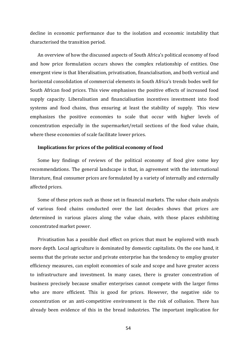decline in economic performance due to the isolation and economic instability that characterised the transition period.

An overview of how the discussed aspects of South Africa's political economy of food and how price formulation occurs shows the complex relationship of entities. One emergent view is that liberalisation, privatisation, financialisation, and both vertical and horizontal consolidation of commercial elements in South Africa's trends bodes well for South African food prices. This view emphasises the positive effects of increased food supply capacity. Liberalisation and financialisation incentives investment into food systems and food chains, thus ensuring at least the stability of supply. This view emphasizes the positive economies to scale that occur with higher levels of concentration especially in the supermarket/retail sections of the food value chain, where these economies of scale facilitate lower prices.

#### **Implications for prices of the political economy of food**

Some key findings of reviews of the political economy of food give some key recommendations. The general landscape is that, in agreement with the international literature, final consumer prices are formulated by a variety of internally and externally affected prices.

Some of these prices such as those set in financial markets. The value chain analysis of various food chains conducted over the last decades shows that prices are determined in various places along the value chain, with those places exhibiting concentrated market power.

Privatisation has a possible duel effect on prices that must be explored with much more depth. Local agriculture is dominated by domestic capitalists. On the one hand, it seems that the private sector and private enterprise has the tendency to employ greater efficiency measures, can exploit economies of scale and scope and have greater access to infrastructure and investment. In many cases, there is greater concentration of business precisely because smaller enterprises cannot compete with the larger firms who are more efficient. This is good for prices. However, the negative side to concentration or an anti-competitive environment is the risk of collusion. There has already been evidence of this in the bread industries. The important implication for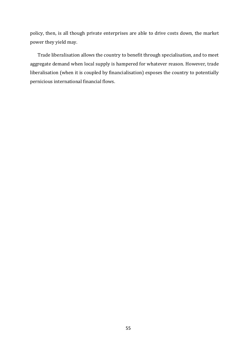policy, then, is all though private enterprises are able to drive costs down, the market power they yield may.

Trade liberalisation allows the country to benefit through specialisation, and to meet aggregate demand when local supply is hampered for whatever reason. However, trade liberalisation (when it is coupled by financialisation) exposes the country to potentially pernicious international financial flows.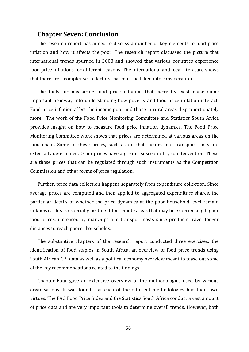### <span id="page-56-0"></span>**Chapter Seven: Conclusion**

The research report has aimed to discuss a number of key elements to food price inflation and how it affects the poor. The research report discussed the picture that international trends spurned in 2008 and showed that various countries experience food price inflations for different reasons. The international and local literature shows that there are a complex set of factors that must be taken into consideration.

The tools for measuring food price inflation that currently exist make some important headway into understanding how poverty and food price inflation interact. Food price inflation affect the income poor and those in rural areas disproportionately more. The work of the Food Price Monitoring Committee and Statistics South Africa provides insight on how to measure food price inflation dynamics. The Food Price Monitoring Committee work shows that prices are determined at various areas on the food chain. Some of these prices, such as oil that factors into transport costs are externally determined. Other prices have a greater susceptibility to intervention. These are those prices that can be regulated through such instruments as the Competition Commission and other forms of price regulation.

Further, price data collection happens separately from expenditure collection. Since average prices are computed and then applied to aggregated expenditure shares, the particular details of whether the price dynamics at the poor household level remain unknown. This is especially pertinent for remote areas that may be experiencing higher food prices, increased by mark-ups and transport costs since products travel longer distances to reach poorer households.

The substantive chapters of the research report conducted three exercises: the identification of food staples in South Africa, an overview of food price trends using South African CPI data as well as a political economy overview meant to tease out some of the key recommendations related to the findings.

Chapter Four gave an extensive overview of the methodologies used by various organisations. It was found that each of the different methodologies had their own virtues. The FAO Food Price Index and the Statistics South Africa conduct a vast amount of price data and are very important tools to determine overall trends. However, both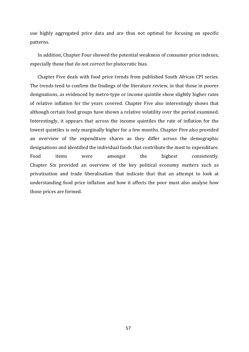use highly aggregated price data and are thus not optimal for focusing on specific patterns.

In addition, Chapter Four showed the potential weakness of consumer price indexes, especially those that do not correct for plutocratic bias.

Chapter Five deals with food price trends from published South African CPI series. The trends tend to confirm the findings of the literature review, in that those in poorer designations, as evidenced by metro-type or income quintile show slightly higher rates of relative inflation for the years covered. Chapter Five also interestingly shows that although certain food groups have shown a relative volatility over the period examined. Interestingly, it appears that across the income quintiles the rate of inflation for the lowest quintiles is only marginally higher for a few months. Chapter Five also provided an overview of the expenditure shares as they differ across the demographic designations and identified the individual foods that contribute the most to expenditure. Food items were amongst the highest consistently. Chapter Six provided an overview of the key political economy matters such as privatisation and trade liberalisation that indicate that that an attempt to look at understanding food price inflation and how it affects the poor must also analyse how those prices are formed.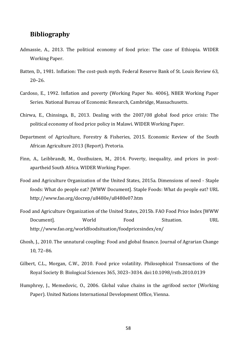## <span id="page-58-0"></span>**Bibliography**

- Admassie, A., 2013. The political economy of food price: The case of Ethiopia. WIDER Working Paper.
- Batten, D., 1981. Inflation: The cost-push myth. Federal Reserve Bank of St. Louis Review 63, 20–26.
- Cardoso, E., 1992. Inflation and poverty (Working Paper No. 4006), NBER Working Paper Series. National Bureau of Economic Research, Cambridge, Massachusetts.
- Chirwa, E., Chinsinga, B., 2013. Dealing with the 2007/08 global food price crisis: The political economy of food price policy in Malawi. WIDER Working Paper.
- Department of Agriculture, Forestry & Fisheries, 2015. Economic Review of the South African Agriculture 2013 (Report). Pretoria.
- Finn, A., Leibbrandt, M., Oosthuizen, M., 2014. Poverty, inequality, and prices in postapartheid South Africa. WIDER Working Paper.
- Food and Agriculture Organization of the United States, 2015a. Dimensions of need Staple foods: What do people eat? [WWW Document]. Staple Foods: What do people eat? URL http://www.fao.org/docrep/u8480e/u8480e07.htm
- Food and Agriculture Organization of the United States, 2015b. FAO Food Price Index [WWW Document]. World Food Situation. URL http://www.fao.org/worldfoodsituation/foodpricesindex/en/
- Ghosh, J., 2010. The unnatural coupling: Food and global finance. Journal of Agrarian Change 10, 72–86.
- Gilbert, C.L., Morgan, C.W., 2010. Food price volatility. Philosophical Transactions of the Royal Society B: Biological Sciences 365, 3023–3034. doi:10.1098/rstb.2010.0139
- Humphrey, J., Memedovic, O., 2006. Global value chains in the agrifood sector (Working Paper). United Nations International Development Office, Vienna.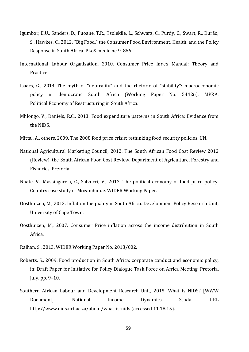- Igumbor, E.U., Sanders, D., Puoane, T.R., Tsolekile, L., Schwarz, C., Purdy, C., Swart, R., Durão, S., Hawkes, C., 2012. "Big Food," the Consumer Food Environment, Health, and the Policy Response in South Africa. PLoS medicine 9, 866.
- International Labour Organisation, 2010. Consumer Price Index Manual: Theory and Practice.
- Isaacs, G., 2014 The myth of "neutrality" and the rhetoric of "stability": macroeconomic policy in democratic South Africa (Working Paper No. 54426), MPRA. Political Economy of Restructuring in South Africa.
- Mhlongo, V., Daniels, R.C., 2013. Food expenditure patterns in South Africa: Evidence from the NIDS.
- Mittal, A., others, 2009. The 2008 food price crisis: rethinking food security policies. UN.
- National Agricultural Marketing Council, 2012. The South African Food Cost Review 2012 (Review), the South African Food Cost Review. Department of Agriculture, Forestry and Fisheries, Pretoria.
- Nhate, V., Massingarela, C., Salvucci, V., 2013. The political economy of food price policy: Country case study of Mozambique. WIDER Working Paper.
- Oosthuizen, M., 2013. Inflation Inequality in South Africa. Development Policy Research Unit, University of Cape Town.
- Oosthuizen, M., 2007. Consumer Price inflation across the income distribution in South Africa.
- Raihan, S., 2013. WIDER Working Paper No. 2013/002.
- Roberts, S., 2009. Food production in South Africa: corporate conduct and economic policy, in: Draft Paper for Initiative for Policy Dialogue Task Force on Africa Meeting, Pretoria, July. pp. 9–10.
- Southern African Labour and Development Research Unit, 2015. What is NIDS? [WWW Document]. National Income Dynamics Study. URL http://www.nids.uct.ac.za/about/what-is-nids (accessed 11.18.15).